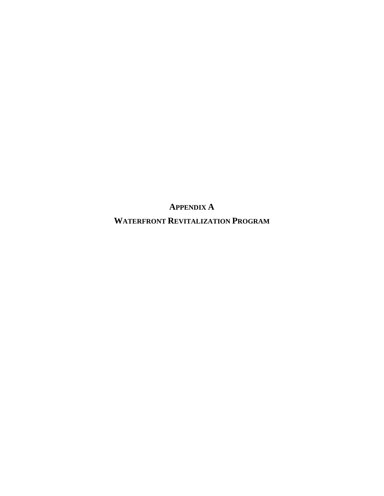**APPENDIX A** 

**WATERFRONT REVITALIZATION PROGRAM**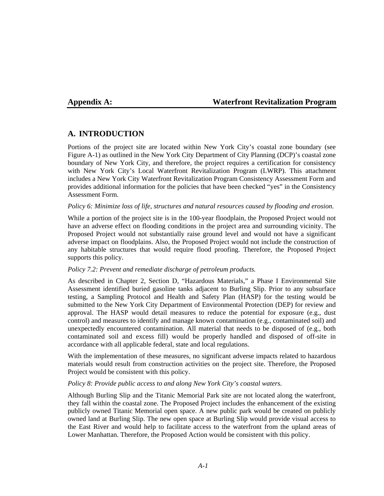## **Appendix A: Waterfront Revitalization Program**

## **A. INTRODUCTION**

Portions of the project site are located within New York City's coastal zone boundary (see Figure A-1) as outlined in the New York City Department of City Planning (DCP)'s coastal zone boundary of New York City, and therefore, the project requires a certification for consistency with New York City's Local Waterfront Revitalization Program (LWRP). This attachment includes a New York City Waterfront Revitalization Program Consistency Assessment Form and provides additional information for the policies that have been checked "yes" in the Consistency Assessment Form.

#### *Policy 6: Minimize loss of life, structures and natural resources caused by flooding and erosion.*

While a portion of the project site is in the 100-year floodplain, the Proposed Project would not have an adverse effect on flooding conditions in the project area and surrounding vicinity. The Proposed Project would not substantially raise ground level and would not have a significant adverse impact on floodplains. Also, the Proposed Project would not include the construction of any habitable structures that would require flood proofing. Therefore, the Proposed Project supports this policy.

## *Policy 7.2: Prevent and remediate discharge of petroleum products.*

As described in Chapter 2, Section D, "Hazardous Materials," a Phase I Environmental Site Assessment identified buried gasoline tanks adjacent to Burling Slip. Prior to any subsurface testing, a Sampling Protocol and Health and Safety Plan (HASP) for the testing would be submitted to the New York City Department of Environmental Protection (DEP) for review and approval. The HASP would detail measures to reduce the potential for exposure (e.g., dust control) and measures to identify and manage known contamination (e.g., contaminated soil) and unexpectedly encountered contamination. All material that needs to be disposed of (e.g., both contaminated soil and excess fill) would be properly handled and disposed of off-site in accordance with all applicable federal, state and local regulations.

With the implementation of these measures, no significant adverse impacts related to hazardous materials would result from construction activities on the project site. Therefore, the Proposed Project would be consistent with this policy.

## *Policy 8: Provide public access to and along New York City's coastal waters.*

Although Burling Slip and the Titanic Memorial Park site are not located along the waterfront, they fall within the coastal zone. The Proposed Project includes the enhancement of the existing publicly owned Titanic Memorial open space. A new public park would be created on publicly owned land at Burling Slip. The new open space at Burling Slip would provide visual access to the East River and would help to facilitate access to the waterfront from the upland areas of Lower Manhattan. Therefore, the Proposed Action would be consistent with this policy.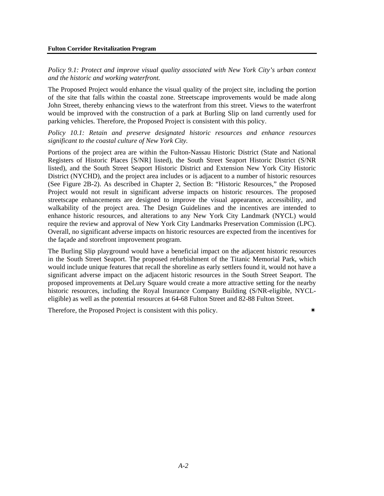*Policy 9.1: Protect and improve visual quality associated with New York City's urban context and the historic and working waterfront.* 

The Proposed Project would enhance the visual quality of the project site, including the portion of the site that falls within the coastal zone. Streetscape improvements would be made along John Street, thereby enhancing views to the waterfront from this street. Views to the waterfront would be improved with the construction of a park at Burling Slip on land currently used for parking vehicles. Therefore, the Proposed Project is consistent with this policy.

*Policy 10.1: Retain and preserve designated historic resources and enhance resources significant to the coastal culture of New York City.* 

Portions of the project area are within the Fulton-Nassau Historic District (State and National Registers of Historic Places [S/NR] listed), the South Street Seaport Historic District (S/NR listed), and the South Street Seaport Historic District and Extension New York City Historic District (NYCHD), and the project area includes or is adjacent to a number of historic resources (See Figure 2B-2). As described in Chapter 2, Section B: "Historic Resources," the Proposed Project would not result in significant adverse impacts on historic resources. The proposed streetscape enhancements are designed to improve the visual appearance, accessibility, and walkability of the project area. The Design Guidelines and the incentives are intended to enhance historic resources, and alterations to any New York City Landmark (NYCL) would require the review and approval of New York City Landmarks Preservation Commission (LPC). Overall, no significant adverse impacts on historic resources are expected from the incentives for the façade and storefront improvement program.

The Burling Slip playground would have a beneficial impact on the adjacent historic resources in the South Street Seaport. The proposed refurbishment of the Titanic Memorial Park, which would include unique features that recall the shoreline as early settlers found it, would not have a significant adverse impact on the adjacent historic resources in the South Street Seaport. The proposed improvements at DeLury Square would create a more attractive setting for the nearby historic resources, including the Royal Insurance Company Building (S/NR-eligible, NYCLeligible) as well as the potential resources at 64-68 Fulton Street and 82-88 Fulton Street.

Therefore, the Proposed Project is consistent with this policy.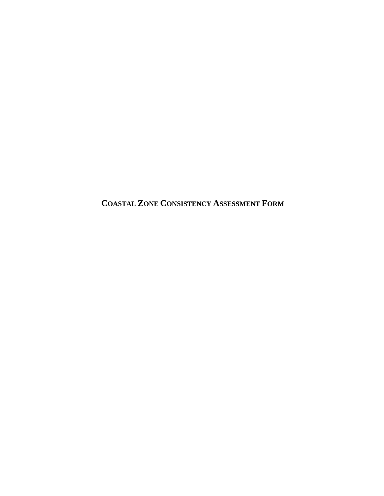**COASTAL ZONE CONSISTENCY ASSESSMENT FORM**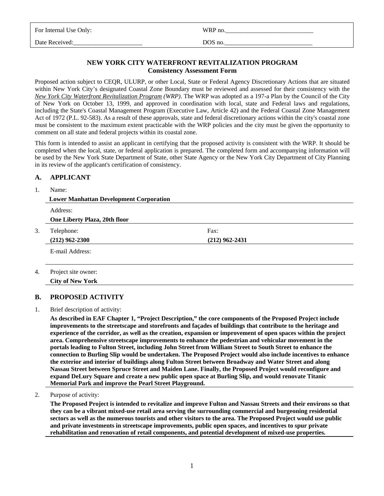| For Internal Use Only: | WRP no. |
|------------------------|---------|
| Date Received:         | DOS no. |

## **NEW YORK CITY WATERFRONT REVITALIZATION PROGRAM Consistency Assessment Form**

Proposed action subject to CEQR, ULURP, or other Local, State or Federal Agency Discretionary Actions that are situated within New York City's designated Coastal Zone Boundary must be reviewed and assessed for their consistency with the *New York City Waterfront Revitalization Program (WRP)*. The WRP was adopted as a 197-a Plan by the Council of the City of New York on October 13, 1999, and approved in coordination with local, state and Federal laws and regulations, including the State's Coastal Management Program (Executive Law, Article 42) and the Federal Coastal Zone Management Act of 1972 (P.L. 92-583). As a result of these approvals, state and federal discretionary actions within the city's coastal zone must be consistent to the maximum extent practicable with the WRP policies and the city must be given the opportunity to comment on all state and federal projects within its coastal zone.

This form is intended to assist an applicant in certifying that the proposed activity is consistent with the WRP. It should be completed when the local, state, or federal application is prepared. The completed form and accompanying information will be used by the New York State Department of State, other State Agency or the New York City Department of City Planning in its review of the applicant's certification of consistency.

## **A. APPLICANT**

#### 1. Name:

| <b>Lower Manhattan Development Corporation</b> |                  |  |
|------------------------------------------------|------------------|--|
| Address:                                       |                  |  |
| One Liberty Plaza, 20th floor                  |                  |  |
| 3.<br>Telephone:                               | Fax:             |  |
| $(212)$ 962-2300                               | $(212)$ 962-2431 |  |
| E-mail Address:                                |                  |  |
|                                                |                  |  |
| Project site owner:<br>4.                      |                  |  |

## **B. PROPOSED ACTIVITY**

 **City of New York** 

#### 1. Brief description of activity:

 **As described in EAF Chapter 1, "Project Description," the core components of the Proposed Project include improvements to the streetscape and storefronts and façades of buildings that contribute to the heritage and experience of the corridor, as well as the creation, expansion or improvement of open spaces within the project area. Comprehensive streetscape improvements to enhance the pedestrian and vehicular movement in the portals leading to Fulton Street, including John Street from William Street to South Street to enhance the connection to Burling Slip would be undertaken. The Proposed Project would also include incentives to enhance the exterior and interior of buildings along Fulton Street between Broadway and Water Street and along Nassau Street between Spruce Street and Maiden Lane. Finally, the Proposed Project would reconfigure and expand DeLury Square and create a new public open space at Burling Slip, and would renovate Titanic Memorial Park and improve the Pearl Street Playground.** 

#### 2. Purpose of activity:

 **The Proposed Project is intended to revitalize and improve Fulton and Nassau Streets and their environs so that they can be a vibrant mixed-use retail area serving the surrounding commercial and burgeoning residential sectors as well as the numerous tourists and other visitors to the area. The Proposed Project would use public and private investments in streetscape improvements, public open spaces, and incentives to spur private rehabilitation and renovation of retail components, and potential development of mixed-use properties.**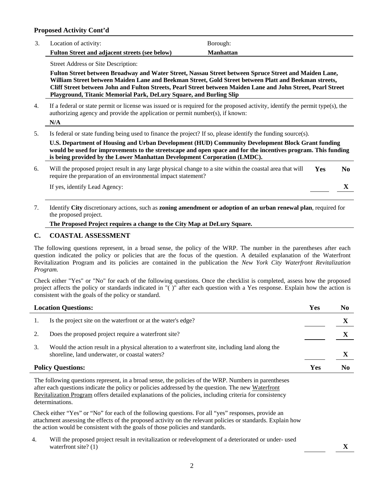#### **Proposed Activity Cont'd**

| Location of activity:                                 | Borough:         |
|-------------------------------------------------------|------------------|
| <b>Fulton Street and adjacent streets (see below)</b> | <b>Manhattan</b> |

Street Address or Site Description:

 **Fulton Street between Broadway and Water Street, Nassau Street between Spruce Street and Maiden Lane, William Street between Maiden Lane and Beekman Street, Gold Street between Platt and Beekman streets, Cliff Street between John and Fulton Streets, Pearl Street between Maiden Lane and John Street, Pearl Street Playground, Titanic Memorial Park, DeLury Square, and Burling Slip** 

4. If a federal or state permit or license was issued or is required for the proposed activity, identify the permit type(s), the authorizing agency and provide the application or permit number(s), if known:

 **N/A** 

5. Is federal or state funding being used to finance the project? If so, please identify the funding source(s).

 **U.S. Department of Housing and Urban Development (HUD) Community Development Block Grant funding would be used for improvements to the streetscape and open space and for the incentives program. This funding is being provided by the Lower Manhattan Development Corporation (LMDC).** 

| Will the proposed project result in any large physical change to a site within the coastal area that will<br>require the preparation of an environmental impact statement? | <b>Yes</b> | No. |
|----------------------------------------------------------------------------------------------------------------------------------------------------------------------------|------------|-----|
| If yes, identify Lead Agency:                                                                                                                                              |            |     |

7. Identify **City** discretionary actions, such as **zoning amendment or adoption of an urban renewal plan**, required for the proposed project.

#### **The Proposed Project requires a change to the City Map at DeLury Square.**

#### **C. COASTAL ASSESSMENT**

The following questions represent, in a broad sense, the policy of the WRP. The number in the parentheses after each question indicated the policy or policies that are the focus of the question. A detailed explanation of the Waterfront Revitalization Program and its policies are contained in the publication the *New York City Waterfront Revitalization Program.* 

Check either "Yes" or "No" for each of the following questions. Once the checklist is completed, assess how the proposed project affects the policy or standards indicated in "( )" after each question with a Yes response. Explain how the action is consistent with the goals of the policy or standard.

|    | Yes<br><b>Location Questions:</b>                                                                                                                 |     | N <sub>0</sub> |
|----|---------------------------------------------------------------------------------------------------------------------------------------------------|-----|----------------|
|    | Is the project site on the waterfront or at the water's edge?                                                                                     |     |                |
|    | Does the proposed project require a waterfront site?                                                                                              |     |                |
| 3. | Would the action result in a physical alteration to a waterfront site, including land along the<br>shoreline, land underwater, or coastal waters? |     |                |
|    | <b>Policy Questions:</b>                                                                                                                          | Yes | N0             |

The following questions represent, in a broad sense, the policies of the WRP. Numbers in parentheses after each questions indicate the policy or policies addressed by the question. The new Waterfront Revitalization Program offers detailed explanations of the policies, including criteria for consistency determinations.

Check either "Yes" or "No" for each of the following questions. For all "yes" responses, provide an attachment assessing the effects of the proposed activity on the relevant policies or standards. Explain how the action would be consistent with the goals of those policies and standards.

4. Will the proposed project result in revitalization or redevelopment of a deteriorated or under- used waterfront site? (1)  $\boldsymbol{X}$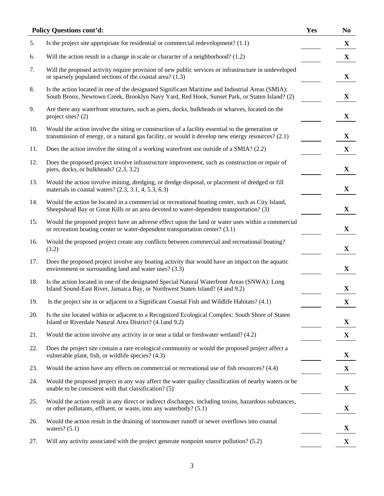|     | <b>Policy Questions cont'd:</b>                                                                                                                                                                        | Yes | N <sub>0</sub> |
|-----|--------------------------------------------------------------------------------------------------------------------------------------------------------------------------------------------------------|-----|----------------|
| 5.  | Is the project site appropriate for residential or commercial redevelopment? $(1.1)$                                                                                                                   |     | $\mathbf X$    |
| 6.  | Will the action result in a change in scale or character of a neighborhood? (1.2)                                                                                                                      |     | $\mathbf X$    |
| 7.  | Will the proposed activity require provision of new public services or infrastructure in undeveloped<br>or sparsely populated sections of the coastal area? (1.3)                                      |     | $\mathbf X$    |
| 8.  | Is the action located in one of the designated Significant Maritime and Industrial Areas (SMIA):<br>South Bronx, Newtown Creek, Brooklyn Navy Yard, Red Hook, Sunset Park, or Staten Island? (2)       |     | X              |
| 9.  | Are there any waterfront structures, such as piers, docks, bulkheads or wharves, located on the<br>project sites? (2)                                                                                  |     | $\mathbf{X}$   |
| 10. | Would the action involve the siting or construction of a facility essential to the generation or<br>transmission of energy, or a natural gas facility, or would it develop new energy resources? (2.1) |     | $\mathbf X$    |
| 11. | Does the action involve the siting of a working waterfront use outside of a SMIA? (2.2)                                                                                                                |     | X              |
| 12. | Does the proposed project involve infrastructure improvement, such as construction or repair of<br>piers, docks, or bulkheads? (2.3, 3.2)                                                              |     | $\mathbf X$    |
| 13. | Would the action involve mining, dredging, or dredge disposal, or placement of dredged or fill<br>materials in coastal waters? $(2.3, 3.1, 4, 5.3, 6.3)$                                               |     | $\mathbf X$    |
| 14. | Would the action be located in a commercial or recreational boating center, such as City Island,<br>Sheepshead Bay or Great Kills or an area devoted to water-dependent transportation? (3)            |     | $\mathbf X$    |
| 15. | Would the proposed project have an adverse effect upon the land or water uses within a commercial<br>or recreation boating center or water-dependent transportation center? (3.1)                      |     | $\mathbf X$    |
| 16. | Would the proposed project create any conflicts between commercial and recreational boating?<br>(3.2)                                                                                                  |     | $\mathbf{X}$   |
| 17. | Does the proposed project involve any boating activity that would have an impact on the aquatic<br>environment or surrounding land and water uses? (3.3)                                               |     | $\mathbf{X}$   |
| 18. | Is the action located in one of the designated Special Natural Waterfront Areas (SNWA): Long<br>Island Sound-East River, Jamaica Bay, or Northwest Staten Island? (4 and 9.2)                          |     | $\mathbf{X}$   |
| 19. | Is the project site in or adjacent to a Significant Coastal Fish and Wildlife Habitats? (4.1)                                                                                                          |     | $\mathbf X$    |
| 20. | Is the site located within or adjacent to a Recognized Ecological Complex: South Shore of Staten<br>Island or Riverdale Natural Area District? (4.1 and 9.2)                                           |     | X              |
| 21. | Would the action involve any activity in or near a tidal or freshwater wetland? (4.2)                                                                                                                  |     | $\mathbf X$    |
| 22. | Does the project site contain a rare ecological community or would the proposed project affect a<br>vulnerable plant, fish, or wildlife species? (4.3)                                                 |     | X              |
| 23. | Would the action have any effects on commercial or recreational use of fish resources? (4.4)                                                                                                           |     | $\mathbf X$    |
| 24. | Would the proposed project in any way affect the water quality classification of nearby waters or be<br>unable to be consistent with that classification? (5)                                          |     | $\mathbf X$    |
| 25. | Would the action result in any direct or indirect discharges, including toxins, hazardous substances,<br>or other pollutants, effluent, or waste, into any waterbody? (5.1)                            |     | $\mathbf X$    |
| 26. | Would the action result in the draining of stormwater runoff or sewer overflows into coastal<br>waters? $(5.1)$                                                                                        |     | $\mathbf X$    |
| 27. | Will any activity associated with the project generate nonpoint source pollution? (5.2)                                                                                                                |     | $\mathbf{X}$   |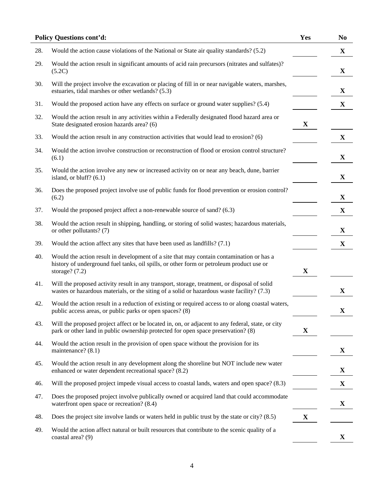|     | <b>Policy Questions cont'd:</b>                                                                                                                                                                          | Yes         | N <sub>0</sub> |
|-----|----------------------------------------------------------------------------------------------------------------------------------------------------------------------------------------------------------|-------------|----------------|
| 28. | Would the action cause violations of the National or State air quality standards? (5.2)                                                                                                                  |             | $\mathbf X$    |
| 29. | Would the action result in significant amounts of acid rain precursors (nitrates and sulfates)?<br>(5.2C)                                                                                                |             | $\mathbf X$    |
| 30. | Will the project involve the excavation or placing of fill in or near navigable waters, marshes,<br>estuaries, tidal marshes or other wetlands? (5.3)                                                    |             | $\mathbf X$    |
| 31. | Would the proposed action have any effects on surface or ground water supplies? (5.4)                                                                                                                    |             | $\mathbf{X}$   |
| 32. | Would the action result in any activities within a Federally designated flood hazard area or<br>State designated erosion hazards area? (6)                                                               | $\mathbf X$ |                |
| 33. | Would the action result in any construction activities that would lead to erosion? (6)                                                                                                                   |             | $\mathbf X$    |
| 34. | Would the action involve construction or reconstruction of flood or erosion control structure?<br>(6.1)                                                                                                  |             | X              |
| 35. | Would the action involve any new or increased activity on or near any beach, dune, barrier<br>island, or bluff? $(6.1)$                                                                                  |             | $\mathbf X$    |
| 36. | Does the proposed project involve use of public funds for flood prevention or erosion control?<br>(6.2)                                                                                                  |             | X              |
| 37. | Would the proposed project affect a non-renewable source of sand? (6.3)                                                                                                                                  |             | $\mathbf X$    |
| 38. | Would the action result in shipping, handling, or storing of solid wastes; hazardous materials,<br>or other pollutants? (7)                                                                              |             | $\mathbf{X}$   |
| 39. | Would the action affect any sites that have been used as landfills? $(7.1)$                                                                                                                              |             | $\mathbf X$    |
| 40. | Would the action result in development of a site that may contain contamination or has a<br>history of underground fuel tanks, oil spills, or other form or petroleum product use or<br>storage? $(7.2)$ | $\mathbf X$ |                |
| 41. | Will the proposed activity result in any transport, storage, treatment, or disposal of solid<br>wastes or hazardous materials, or the siting of a solid or hazardous waste facility? (7.3)               |             | $\mathbf X$    |
| 42. | Would the action result in a reduction of existing or required access to or along coastal waters,<br>public access areas, or public parks or open spaces? (8)                                            |             | $\mathbf X$    |
| 43. | Will the proposed project affect or be located in, on, or adjacent to any federal, state, or city<br>park or other land in public ownership protected for open space preservation? (8)                   | $\mathbf X$ |                |
| 44. | Would the action result in the provision of open space without the provision for its<br>maintenance? (8.1)                                                                                               |             | X              |
| 45. | Would the action result in any development along the shoreline but NOT include new water<br>enhanced or water dependent recreational space? (8.2)                                                        |             | $\mathbf X$    |
| 46. | Will the proposed project impede visual access to coastal lands, waters and open space? (8.3)                                                                                                            |             | $\mathbf X$    |
| 47. | Does the proposed project involve publically owned or acquired land that could accommodate<br>waterfront open space or recreation? (8.4)                                                                 |             | X              |
| 48. | Does the project site involve lands or waters held in public trust by the state or city? (8.5)                                                                                                           | $\mathbf X$ |                |
| 49. | Would the action affect natural or built resources that contribute to the scenic quality of a<br>coastal area? (9)                                                                                       |             | $\mathbf X$    |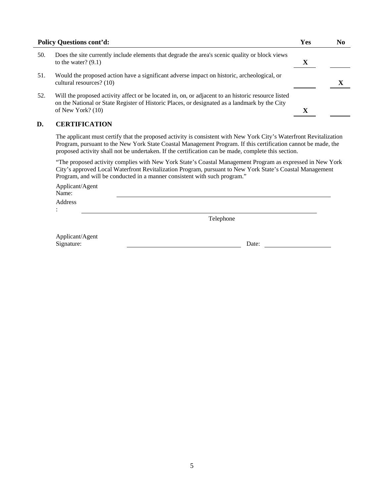| <b>Policy Questions cont'd:</b> |                                                                                                                                                                                                                            | Yes | N0 |
|---------------------------------|----------------------------------------------------------------------------------------------------------------------------------------------------------------------------------------------------------------------------|-----|----|
| 50.                             | Does the site currently include elements that degrade the area's scenic quality or block views<br>to the water? $(9.1)$                                                                                                    | X   |    |
| 51.                             | Would the proposed action have a significant adverse impact on historic, archeological, or<br>cultural resources? (10)                                                                                                     |     |    |
| 52.                             | Will the proposed activity affect or be located in, on, or adjacent to an historic resource listed<br>on the National or State Register of Historic Places, or designated as a landmark by the City<br>of New York? $(10)$ |     |    |

## **D. CERTIFICATION**

 The applicant must certify that the proposed activity is consistent with New York City's Waterfront Revitalization Program, pursuant to the New York State Coastal Management Program. If this certification cannot be made, the proposed activity shall not be undertaken. If the certification can be made, complete this section.

"The proposed activity complies with New York State's Coastal Management Program as expressed in New York City's approved Local Waterfront Revitalization Program, pursuant to New York State's Coastal Management Program, and will be conducted in a manner consistent with such program."

 Applicant/Agent Name: Address

:

L

Telephone

| Applicant/Agent |       |
|-----------------|-------|
| Signature:      | Date: |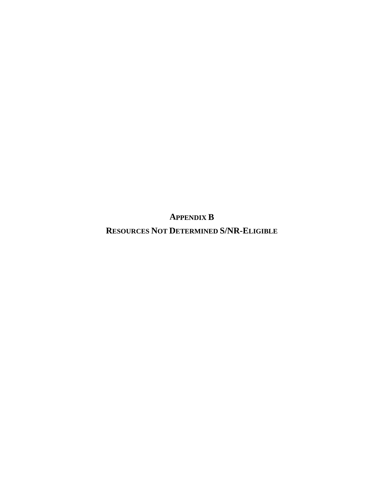**APPENDIX B**

**RESOURCES NOT DETERMINED S/NR-ELIGIBLE**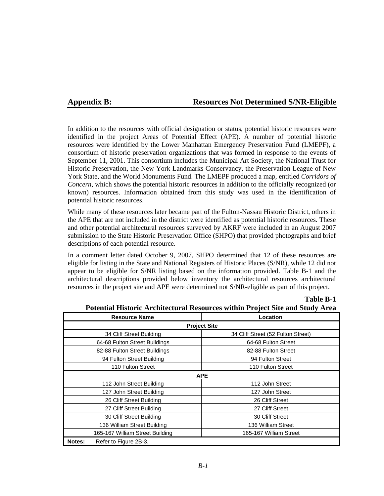## **Appendix B: Resources Not Determined S/NR-Eligible**

**Table B-1**

In addition to the resources with official designation or status, potential historic resources were identified in the project Areas of Potential Effect (APE). A number of potential historic resources were identified by the Lower Manhattan Emergency Preservation Fund (LMEPF), a consortium of historic preservation organizations that was formed in response to the events of September 11, 2001. This consortium includes the Municipal Art Society, the National Trust for Historic Preservation, the New York Landmarks Conservancy, the Preservation League of New York State, and the World Monuments Fund. The LMEPF produced a map, entitled *Corridors of Concern,* which shows the potential historic resources in addition to the officially recognized (or known) resources. Information obtained from this study was used in the identification of potential historic resources.

While many of these resources later became part of the Fulton-Nassau Historic District, others in the APE that are not included in the district were identified as potential historic resources. These and other potential architectural resources surveyed by AKRF were included in an August 2007 submission to the State Historic Preservation Office (SHPO) that provided photographs and brief descriptions of each potential resource.

In a comment letter dated October 9, 2007, SHPO determined that 12 of these resources are eligible for listing in the State and National Registers of Historic Places (S/NR), while 12 did not appear to be eligible for S/NR listing based on the information provided. Table B-1 and the architectural descriptions provided below inventory the architectural resources architectural resources in the project site and APE were determined not S/NR-eligible as part of this project.

| <b>Resource Name</b>            | Location                           |  |  |
|---------------------------------|------------------------------------|--|--|
|                                 | <b>Project Site</b>                |  |  |
| 34 Cliff Street Building        | 34 Cliff Street (52 Fulton Street) |  |  |
| 64-68 Fulton Street Buildings   | 64-68 Fulton Street                |  |  |
| 82-88 Fulton Street Buildings   | 82-88 Fulton Street                |  |  |
| 94 Fulton Street Building       | 94 Fulton Street                   |  |  |
| 110 Fulton Street               | 110 Fulton Street                  |  |  |
|                                 | <b>APE</b>                         |  |  |
| 112 John Street Building        | 112 John Street                    |  |  |
| 127 John Street Building        | 127 John Street                    |  |  |
| 26 Cliff Street Building        | 26 Cliff Street                    |  |  |
| 27 Cliff Street Building        | 27 Cliff Street                    |  |  |
| 30 Cliff Street Building        | 30 Cliff Street                    |  |  |
| 136 William Street Building     | 136 William Street                 |  |  |
| 165-167 William Street Building | 165-167 William Street             |  |  |
| Notes:<br>Refer to Figure 2B-3. |                                    |  |  |

**Potential Historic Architectural Resources within Project Site and Study Area**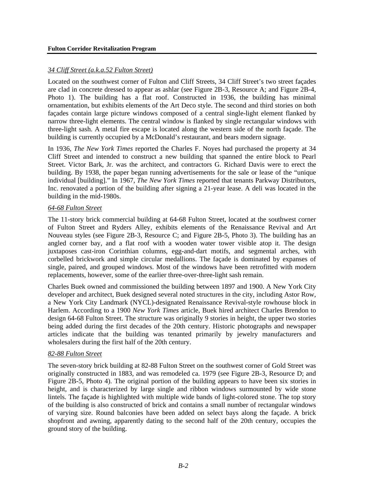#### *34 Cliff Street (a.k.a.52 Fulton Street)*

Located on the southwest corner of Fulton and Cliff Streets, 34 Cliff Street's two street façades are clad in concrete dressed to appear as ashlar (see Figure 2B-3, Resource A; and Figure 2B-4, Photo 1). The building has a flat roof. Constructed in 1936, the building has minimal ornamentation, but exhibits elements of the Art Deco style. The second and third stories on both façades contain large picture windows composed of a central single-light element flanked by narrow three-light elements. The central window is flanked by single rectangular windows with three-light sash. A metal fire escape is located along the western side of the north façade. The building is currently occupied by a McDonald's restaurant, and bears modern signage.

In 1936, *The New York Times* reported the Charles F. Noyes had purchased the property at 34 Cliff Street and intended to construct a new building that spanned the entire block to Pearl Street. Victor Bark, Jr. was the architect, and contractors G. Richard Davis were to erect the building. By 1938, the paper began running advertisements for the sale or lease of the "unique individual [building]." In 1967, *The New York Times* reported that tenants Parkway Distributors, Inc. renovated a portion of the building after signing a 21-year lease. A deli was located in the building in the mid-1980s.

#### *64-68 Fulton Street*

The 11-story brick commercial building at 64-68 Fulton Street, located at the southwest corner of Fulton Street and Ryders Alley, exhibits elements of the Renaissance Revival and Art Nouveau styles (see Figure 2B-3, Resource C; and Figure 2B-5, Photo 3). The building has an angled corner bay, and a flat roof with a wooden water tower visible atop it. The design juxtaposes cast-iron Corinthian columns, egg-and-dart motifs, and segmental arches, with corbelled brickwork and simple circular medallions. The façade is dominated by expanses of single, paired, and grouped windows. Most of the windows have been retrofitted with modern replacements, however, some of the earlier three-over-three-light sash remain.

Charles Buek owned and commissioned the building between 1897 and 1900. A New York City developer and architect, Buek designed several noted structures in the city, including Astor Row, a New York City Landmark (NYCL)-designated Renaissance Revival-style rowhouse block in Harlem. According to a 1900 *New York Times* article, Buek hired architect Charles Brendon to design 64-68 Fulton Street. The structure was originally 9 stories in height, the upper two stories being added during the first decades of the 20th century. Historic photographs and newspaper articles indicate that the building was tenanted primarily by jewelry manufacturers and wholesalers during the first half of the 20th century.

#### *82-88 Fulton Street*

The seven-story brick building at 82-88 Fulton Street on the southwest corner of Gold Street was originally constructed in 1883, and was remodeled ca. 1979 (see Figure 2B-3, Resource D; and Figure 2B-5, Photo 4). The original portion of the building appears to have been six stories in height, and is characterized by large single and ribbon windows surmounted by wide stone lintels. The façade is highlighted with multiple wide bands of light-colored stone. The top story of the building is also constructed of brick and contains a small number of rectangular windows of varying size. Round balconies have been added on select bays along the façade. A brick shopfront and awning, apparently dating to the second half of the 20th century, occupies the ground story of the building.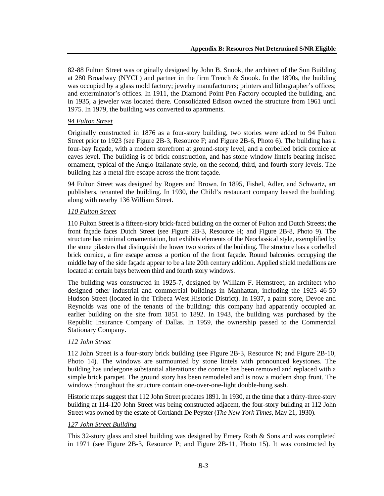82-88 Fulton Street was originally designed by John B. Snook, the architect of the Sun Building at 280 Broadway (NYCL) and partner in the firm Trench & Snook. In the 1890s, the building was occupied by a glass mold factory; jewelry manufacturers; printers and lithographer's offices; and exterminator's offices. In 1911, the Diamond Point Pen Factory occupied the building, and in 1935, a jeweler was located there. Consolidated Edison owned the structure from 1961 until 1975. In 1979, the building was converted to apartments.

## *94 Fulton Street*

Originally constructed in 1876 as a four-story building, two stories were added to 94 Fulton Street prior to 1923 (see Figure 2B-3, Resource F; and Figure 2B-6, Photo 6). The building has a four-bay façade, with a modern storefront at ground-story level, and a corbelled brick cornice at eaves level. The building is of brick construction, and has stone window lintels bearing incised ornament, typical of the Anglo-Italianate style, on the second, third, and fourth-story levels. The building has a metal fire escape across the front façade.

94 Fulton Street was designed by Rogers and Brown. In 1895, Fishel, Adler, and Schwartz, art publishers, tenanted the building. In 1930, the Child's restaurant company leased the building, along with nearby 136 William Street.

## *110 Fulton Street*

110 Fulton Street is a fifteen-story brick-faced building on the corner of Fulton and Dutch Streets; the front façade faces Dutch Street (see Figure 2B-3, Resource H; and Figure 2B-8, Photo 9). The structure has minimal ornamentation, but exhibits elements of the Neoclassical style, exemplified by the stone pilasters that distinguish the lower two stories of the building. The structure has a corbelled brick cornice, a fire escape across a portion of the front façade. Round balconies occupying the middle bay of the side façade appear to be a late 20th century addition. Applied shield medallions are located at certain bays between third and fourth story windows.

The building was constructed in 1925-7, designed by William F. Hemstreet, an architect who designed other industrial and commercial buildings in Manhattan, including the 1925 46-50 Hudson Street (located in the Tribeca West Historic District). In 1937, a paint store, Devoe and Reynolds was one of the tenants of the building: this company had apparently occupied an earlier building on the site from 1851 to 1892. In 1943, the building was purchased by the Republic Insurance Company of Dallas. In 1959, the ownership passed to the Commercial Stationary Company.

## *112 John Street*

112 John Street is a four-story brick building (see Figure 2B-3, Resource N; and Figure 2B-10, Photo 14). The windows are surmounted by stone lintels with pronounced keystones. The building has undergone substantial alterations: the cornice has been removed and replaced with a simple brick parapet. The ground story has been remodeled and is now a modern shop front. The windows throughout the structure contain one-over-one-light double-hung sash.

Historic maps suggest that 112 John Street predates 1891. In 1930, at the time that a thirty-three-story building at 114-120 John Street was being constructed adjacent, the four-story building at 112 John Street was owned by the estate of Cortlandt De Peyster (*The New York Times,* May 21, 1930).

## *127 John Street Building*

This 32-story glass and steel building was designed by Emery Roth & Sons and was completed in 1971 (see Figure 2B-3, Resource P; and Figure 2B-11, Photo 15). It was constructed by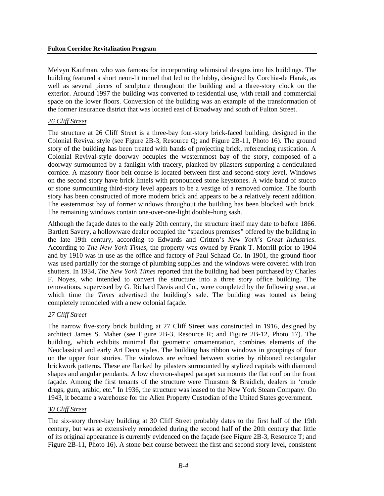Melvyn Kaufman, who was famous for incorporating whimsical designs into his buildings. The building featured a short neon-lit tunnel that led to the lobby, designed by Corchia-de Harak, as well as several pieces of sculpture throughout the building and a three-story clock on the exterior. Around 1997 the building was converted to residential use, with retail and commercial space on the lower floors. Conversion of the building was an example of the transformation of the former insurance district that was located east of Broadway and south of Fulton Street.

#### *26 Cliff Street*

The structure at 26 Cliff Street is a three-bay four-story brick-faced building, designed in the Colonial Revival style (see Figure 2B-3, Resource Q; and Figure 2B-11, Photo 16). The ground story of the building has been treated with bands of projecting brick, referencing rustication. A Colonial Revival-style doorway occupies the westernmost bay of the story, composed of a doorway surmounted by a fanlight with tracery, planked by pilasters supporting a denticulated cornice. A masonry floor belt course is located between first and second-story level. Windows on the second story have brick lintels with pronounced stone keystones. A wide band of stucco or stone surmounting third-story level appears to be a vestige of a removed cornice. The fourth story has been constructed of more modern brick and appears to be a relatively recent addition. The easternmost bay of former windows throughout the building has been blocked with brick. The remaining windows contain one-over-one-light double-hung sash.

Although the façade dates to the early 20th century, the structure itself may date to before 1866. Bartlett Savery, a hollowware dealer occupied the "spacious premises" offered by the building in the late 19th century, according to Edwards and Critten's *New York's Great Industries*. According to *The New York Times*, the property was owned by Frank T. Morrill prior to 1904 and by 1910 was in use as the office and factory of Paul Schaad Co. In 1901, the ground floor was used partially for the storage of plumbing supplies and the windows were covered with iron shutters. In 1934, *The New York Times* reported that the building had been purchased by Charles F. Noyes, who intended to convert the structure into a three story office building. The renovations, supervised by G. Richard Davis and Co., were completed by the following year, at which time the *Times* advertised the building's sale. The building was touted as being completely remodeled with a new colonial façade.

## *27 Cliff Street*

The narrow five-story brick building at 27 Cliff Street was constructed in 1916, designed by architect James S. Maher (see Figure 2B-3, Resource R; and Figure 2B-12, Photo 17). The building, which exhibits minimal flat geometric ornamentation, combines elements of the Neoclassical and early Art Deco styles. The building has ribbon windows in groupings of four on the upper four stories. The windows are echoed between stories by ribboned rectangular brickwork patterns. These are flanked by pilasters surmounted by stylized capitals with diamond shapes and angular pendants. A low chevron-shaped parapet surmounts the flat roof on the front façade. Among the first tenants of the structure were Thurston & Braidich, dealers in 'crude drugs, gum, arabic, etc." In 1936, the structure was leased to the New York Steam Company. On 1943, it became a warehouse for the Alien Property Custodian of the United States government.

## *30 Cliff Street*

The six-story three-bay building at 30 Cliff Street probably dates to the first half of the 19th century, but was so extensively remodeled during the second half of the 20th century that little of its original appearance is currently evidenced on the façade (see Figure 2B-3, Resource T; and Figure 2B-11, Photo 16). A stone belt course between the first and second story level, consistent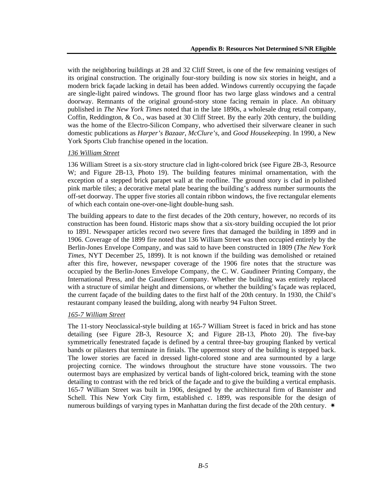with the neighboring buildings at 28 and 32 Cliff Street, is one of the few remaining vestiges of its original construction. The originally four-story building is now six stories in height, and a modern brick façade lacking in detail has been added. Windows currently occupying the façade are single-light paired windows. The ground floor has two large glass windows and a central doorway. Remnants of the original ground-story stone facing remain in place. An obituary published in *The New York Times* noted that in the late 1890s, a wholesale drug retail company, Coffin, Reddington, & Co., was based at 30 Cliff Street. By the early 20th century, the building was the home of the Electro-Silicon Company, who advertised their silverware cleaner in such domestic publications as *Harper's Bazaar*, *McClure's*, and *Good Housekeeping*. In 1990, a New York Sports Club franchise opened in the location.

## *136 William Street*

136 William Street is a six-story structure clad in light-colored brick (see Figure 2B-3, Resource W; and Figure 2B-13, Photo 19). The building features minimal ornamentation, with the exception of a stepped brick parapet wall at the roofline. The ground story is clad in polished pink marble tiles; a decorative metal plate bearing the building's address number surmounts the off-set doorway. The upper five stories all contain ribbon windows, the five rectangular elements of which each contain one-over-one-light double-hung sash.

The building appears to date to the first decades of the 20th century, however, no records of its construction has been found. Historic maps show that a six-story building occupied the lot prior to 1891. Newspaper articles record two severe fires that damaged the building in 1899 and in 1906. Coverage of the 1899 fire noted that 136 William Street was then occupied entirely by the Berlin-Jones Envelope Company, and was said to have been constructed in 1809 (*The New York Times*, NYT December 25, 1899). It is not known if the building was demolished or retained after this fire, however, newspaper coverage of the 1906 fire notes that the structure was occupied by the Berlin-Jones Envelope Company, the C. W. Gaudineer Printing Company, the International Press, and the Gaudineer Company. Whether the building was entirely replaced with a structure of similar height and dimensions, or whether the building's façade was replaced, the current façade of the building dates to the first half of the 20th century. In 1930, the Child's restaurant company leased the building, along with nearby 94 Fulton Street.

## *165-7 William Street*

The 11-story Neoclassical-style building at 165-7 William Street is faced in brick and has stone detailing (see Figure 2B-3, Resource X; and Figure 2B-13, Photo 20). The five-bay symmetrically fenestrated façade is defined by a central three-bay grouping flanked by vertical bands or pilasters that terminate in finials. The uppermost story of the building is stepped back. The lower stories are faced in dressed light-colored stone and area surmounted by a large projecting cornice. The windows throughout the structure have stone voussoirs. The two outermost bays are emphasized by vertical bands of light-colored brick, teaming with the stone detailing to contrast with the red brick of the façade and to give the building a vertical emphasis. 165-7 William Street was built in 1906, designed by the architectural firm of Bannister and Schell. This New York City firm, established c. 1899, was responsible for the design of numerous buildings of varying types in Manhattan during the first decade of the 20th century.  $*$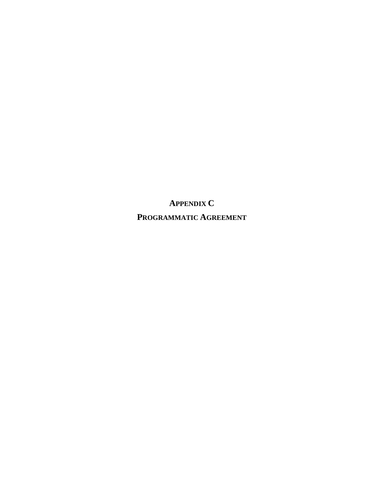**APPENDIX C PROGRAMMATIC AGREEMENT**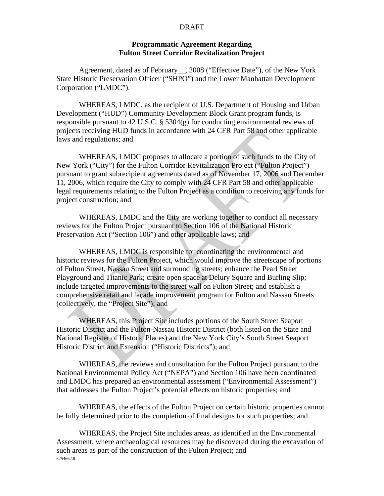## **Programmatic Agreement Regarding Fulton Street Corridor Revitalization Project**

Agreement, dated as of February\_\_, 2008 ("Effective Date"), of the New York State Historic Preservation Officer ("SHPO") and the Lower Manhattan Development Corporation ("LMDC").

WHEREAS, LMDC, as the recipient of U.S. Department of Housing and Urban Development ("HUD") Community Development Block Grant program funds, is responsible pursuant to 42 U.S.C. § 5304(g) for conducting environmental reviews of projects receiving HUD funds in accordance with 24 CFR Part 58 and other applicable laws and regulations; and

WHEREAS, LMDC proposes to allocate a portion of such funds to the City of New York ("City") for the Fulton Corridor Revitalization Project ("Fulton Project") pursuant to grant subrecipient agreements dated as of November 17, 2006 and December 11, 2006, which require the City to comply with 24 CFR Part 58 and other applicable legal requirements relating to the Fulton Project as a condition to receiving any funds for project construction; and

WHEREAS, LMDC and the City are working together to conduct all necessary reviews for the Fulton Project pursuant to Section 106 of the National Historic Preservation Act ("Section 106") and other applicable laws; and

WHEREAS, LMDC is responsible for coordinating the environmental and historic reviews for the Fulton Project, which would improve the streetscape of portions of Fulton Street, Nassau Street and surrounding streets; enhance the Pearl Street Playground and Titanic Park; create open space at Delury Square and Burling Slip; include targeted improvements to the street wall on Fulton Street; and establish a comprehensive retail and façade improvement program for Fulton and Nassau Streets (collectively, the "Project Site"); and

WHEREAS, this Project Site includes portions of the South Street Seaport Historic District and the Fulton-Nassau Historic District (both listed on the State and National Register of Historic Places) and the New York City's South Street Seaport Historic District and Extension ("Historic Districts"); and

WHEREAS, the reviews and consultation for the Fulton Project pursuant to the National Environmental Policy Act ("NEPA") and Section 106 have been coordinated and LMDC has prepared an environmental assessment ("Environmental Assessment") that addresses the Fulton Project's potential effects on historic properties; and

WHEREAS, the effects of the Fulton Project on certain historic properties cannot be fully determined prior to the completion of final designs for such properties; and

6254662.8 WHEREAS, the Project Site includes areas, as identified in the Environmental Assessment, where archaeological resources may be discovered during the excavation of such areas as part of the construction of the Fulton Project; and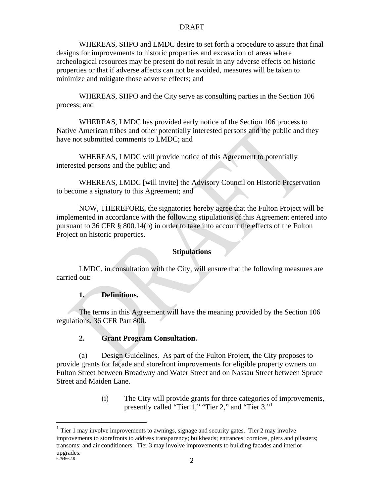WHEREAS, SHPO and LMDC desire to set forth a procedure to assure that final designs for improvements to historic properties and excavation of areas where archeological resources may be present do not result in any adverse effects on historic properties or that if adverse affects can not be avoided, measures will be taken to minimize and mitigate those adverse effects; and

WHEREAS, SHPO and the City serve as consulting parties in the Section 106 process; and

WHEREAS, LMDC has provided early notice of the Section 106 process to Native American tribes and other potentially interested persons and the public and they have not submitted comments to LMDC; and

WHEREAS, LMDC will provide notice of this Agreement to potentially interested persons and the public; and

 WHEREAS, LMDC [will invite] the Advisory Council on Historic Preservation to become a signatory to this Agreement; and

NOW, THEREFORE, the signatories hereby agree that the Fulton Project will be implemented in accordance with the following stipulations of this Agreement entered into pursuant to 36 CFR § 800.14(b) in order to take into account the effects of the Fulton Project on historic properties.

## **Stipulations**

LMDC, in consultation with the City, will ensure that the following measures are carried out:

## **1. Definitions.**

The terms in this Agreement will have the meaning provided by the Section 106 regulations, 36 CFR Part 800.

## **2. Grant Program Consultation.**

(a) Design Guidelines. As part of the Fulton Project, the City proposes to provide grants for façade and storefront improvements for eligible property owners on Fulton Street between Broadway and Water Street and on Nassau Street between Spruce Street and Maiden Lane.

> (i) The City will provide grants for three categories of improvements, presently called "Tier 1," "Tier 2," and "Tier 3."<sup>1</sup>

1

 $6254662.8$  2  $<sup>1</sup>$  Tier 1 may involve improvements to awnings, signage and security gates. Tier 2 may involve</sup> improvements to storefronts to address transparency; bulkheads; entrances; cornices, piers and pilasters; transoms; and air conditioners. Tier 3 may involve improvements to building facades and interior upgrades.<br>6254662.8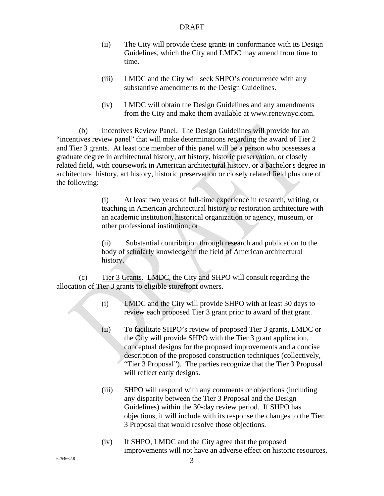- (ii) The City will provide these grants in conformance with its Design Guidelines, which the City and LMDC may amend from time to time.
- (iii) LMDC and the City will seek SHPO's concurrence with any substantive amendments to the Design Guidelines.
- (iv) LMDC will obtain the Design Guidelines and any amendments from the City and make them available at www.renewnyc.com.

(b) Incentives Review Panel. The Design Guidelines will provide for an "incentives review panel" that will make determinations regarding the award of Tier 2 and Tier 3 grants. At least one member of this panel will be a person who possesses a graduate degree in architectural history, art history, historic preservation, or closely related field, with coursework in American architectural history, or a bachelor's degree in architectural history, art history, historic preservation or closely related field plus one of the following:

> (i) At least two years of full-time experience in research, writing, or teaching in American architectural history or restoration architecture with an academic institution, historical organization or agency, museum, or other professional institution; or

(ii) Substantial contribution through research and publication to the body of scholarly knowledge in the field of American architectural history.

(c) Tier 3 Grants. LMDC, the City and SHPO will consult regarding the allocation of Tier 3 grants to eligible storefront owners.

- (i) LMDC and the City will provide SHPO with at least 30 days to review each proposed Tier 3 grant prior to award of that grant.
- (ii) To facilitate SHPO's review of proposed Tier 3 grants, LMDC or the City will provide SHPO with the Tier 3 grant application, conceptual designs for the proposed improvements and a concise description of the proposed construction techniques (collectively, "Tier 3 Proposal"). The parties recognize that the Tier 3 Proposal will reflect early designs.
- (iii) SHPO will respond with any comments or objections (including any disparity between the Tier 3 Proposal and the Design Guidelines) within the 30-day review period. If SHPO has objections, it will include with its response the changes to the Tier 3 Proposal that would resolve those objections.
- (iv) If SHPO, LMDC and the City agree that the proposed improvements will not have an adverse effect on historic resources,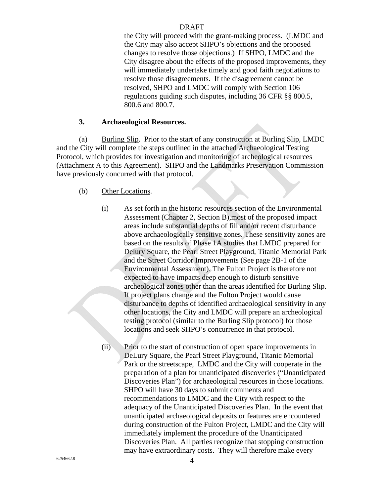the City will proceed with the grant-making process. (LMDC and the City may also accept SHPO's objections and the proposed changes to resolve those objections.) If SHPO, LMDC and the City disagree about the effects of the proposed improvements, they will immediately undertake timely and good faith negotiations to resolve those disagreements. If the disagreement cannot be resolved, SHPO and LMDC will comply with Section 106 regulations guiding such disputes, including 36 CFR §§ 800.5, 800.6 and 800.7.

## **3. Archaeological Resources.**

(a) Burling Slip. Prior to the start of any construction at Burling Slip, LMDC and the City will complete the steps outlined in the attached Archaeological Testing Protocol, which provides for investigation and monitoring of archeological resources (Attachment A to this Agreement). SHPO and the Landmarks Preservation Commission have previously concurred with that protocol.

## (b) Other Locations.

- (i) As set forth in the historic resources section of the Environmental Assessment (Chapter 2, Section B),most of the proposed impact areas include substantial depths of fill and/or recent disturbance above archaeologically sensitive zones. These sensitivity zones are based on the results of Phase 1A studies that LMDC prepared for Delury Square, the Pearl Street Playground, Titanic Memorial Park and the Street Corridor Improvements (See page 2B-1 of the Environmental Assessment). The Fulton Project is therefore not expected to have impacts deep enough to disturb sensitive archeological zones other than the areas identified for Burling Slip. If project plans change and the Fulton Project would cause disturbance to depths of identified archaeological sensitivity in any other locations, the City and LMDC will prepare an archeological testing protocol (similar to the Burling Slip protocol) for those locations and seek SHPO's concurrence in that protocol.
- (ii) Prior to the start of construction of open space improvements in DeLury Square, the Pearl Street Playground, Titanic Memorial Park or the streetscape, LMDC and the City will cooperate in the preparation of a plan for unanticipated discoveries ("Unanticipated Discoveries Plan") for archaeological resources in those locations. SHPO will have 30 days to submit comments and recommendations to LMDC and the City with respect to the adequacy of the Unanticipated Discoveries Plan. In the event that unanticipated archaeological deposits or features are encountered during construction of the Fulton Project, LMDC and the City will immediately implement the procedure of the Unanticipated Discoveries Plan. All parties recognize that stopping construction may have extraordinary costs. They will therefore make every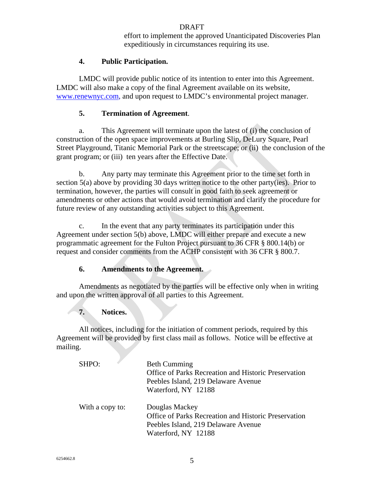effort to implement the approved Unanticipated Discoveries Plan expeditiously in circumstances requiring its use.

## **4. Public Participation.**

LMDC will provide public notice of its intention to enter into this Agreement. LMDC will also make a copy of the final Agreement available on its website, www.renewnyc.com, and upon request to LMDC's environmental project manager.

## **5. Termination of Agreement**.

a. This Agreement will terminate upon the latest of (i) the conclusion of construction of the open space improvements at Burling Slip, DeLury Square, Pearl Street Playground, Titanic Memorial Park or the streetscape; or (ii) the conclusion of the grant program; or (iii) ten years after the Effective Date.

b. Any party may terminate this Agreement prior to the time set forth in section 5(a) above by providing 30 days written notice to the other party(ies). Prior to termination, however, the parties will consult in good faith to seek agreement or amendments or other actions that would avoid termination and clarify the procedure for future review of any outstanding activities subject to this Agreement.

c. In the event that any party terminates its participation under this Agreement under section 5(b) above, LMDC will either prepare and execute a new programmatic agreement for the Fulton Project pursuant to 36 CFR § 800.14(b) or request and consider comments from the ACHP consistent with 36 CFR § 800.7.

## **6. Amendments to the Agreement.**

Amendments as negotiated by the parties will be effective only when in writing and upon the written approval of all parties to this Agreement.

## **7. Notices.**

All notices, including for the initiation of comment periods, required by this Agreement will be provided by first class mail as follows. Notice will be effective at mailing.

| SHPO:           | <b>Beth Cumming</b><br>Office of Parks Recreation and Historic Preservation<br>Peebles Island, 219 Delaware Avenue<br>Waterford, NY 12188 |
|-----------------|-------------------------------------------------------------------------------------------------------------------------------------------|
| With a copy to: | Douglas Mackey<br>Office of Parks Recreation and Historic Preservation<br>Peebles Island, 219 Delaware Avenue<br>Waterford, NY 12188      |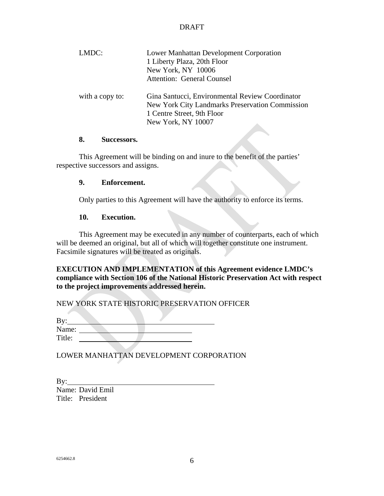| LMDC:           | Lower Manhattan Development Corporation         |
|-----------------|-------------------------------------------------|
|                 | 1 Liberty Plaza, 20th Floor                     |
|                 | New York, NY 10006                              |
|                 | <b>Attention: General Counsel</b>               |
| with a copy to: | Gina Santucci, Environmental Review Coordinator |
|                 | New York City Landmarks Preservation Commission |
|                 | 1 Centre Street, 9th Floor                      |
|                 | New York, NY 10007                              |
|                 |                                                 |

## **8. Successors.**

 This Agreement will be binding on and inure to the benefit of the parties' respective successors and assigns.

## **9. Enforcement.**

Only parties to this Agreement will have the authority to enforce its terms.

## **10. Execution.**

 This Agreement may be executed in any number of counterparts, each of which will be deemed an original, but all of which will together constitute one instrument. Facsimile signatures will be treated as originals.

**EXECUTION AND IMPLEMENTATION of this Agreement evidence LMDC's compliance with Section 106 of the National Historic Preservation Act with respect to the project improvements addressed herein.** 

NEW YORK STATE HISTORIC PRESERVATION OFFICER

| By:    |  |  |  |
|--------|--|--|--|
| Name:  |  |  |  |
| Title: |  |  |  |

LOWER MANHATTAN DEVELOPMENT CORPORATION

By: Name: David Emil Title: President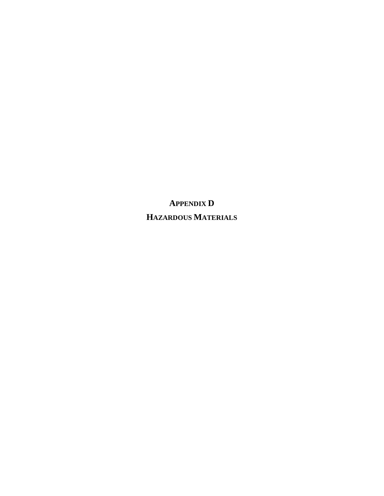**APPENDIX D HAZARDOUS MATERIALS**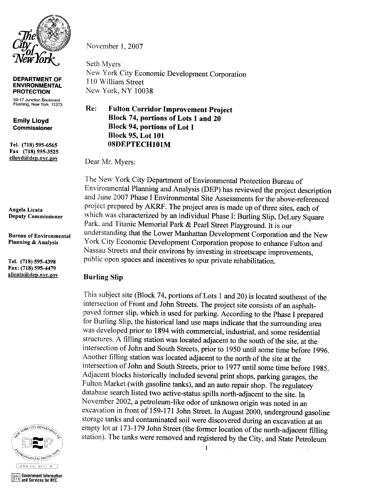

**DEPARTMENT OF ENVIRONMENTAL PROTECTION** 

59-17 Junction Boulevard Flushing, New York 11373

**Emily Lloyd Commissioner** 

Tel. (718) 595-6565 Fax (718) 595-3525 elloyd@dep.nyc.gov

Angela Licata **Deputy Commissioner** 

**Bureau of Environmental Planning & Analysis** 

Tel. (718) 595-4398 Fax: (718) 595-4479 alicata@dep.nyc.gov



and Services for NYC

November 1, 2007

Seth Myers New York City Economic Development Corporation 110 William Street New York, NY 10038

#### Re: **Fulton Corridor Improvement Project** Block 74, portions of Lots 1 and 20 **Block 94, portions of Lot 1 Block 95, Lot 101** 08DEPTECH101M

Dear Mr. Myers:

The New York City Department of Environmental Protection Bureau of Environmental Planning and Analysis (DEP) has reviewed the project description and June 2007 Phase I Environmental Site Assessments for the above-referenced project prepared by AKRF. The project area is made up of three sites, each of which was characterized by an individual Phase I: Burling Slip, DeLury Square Park, and Titanic Memorial Park & Pearl Street Playground. It is our understanding that the Lower Manhattan Development Corporation and the New York City Economic Development Corporation propose to enhance Fulton and Nassau Streets and their environs by investing in streetscape improvements, public open spaces and incentives to spur private rehabilitation.

## **Burling Slip**

This subject site (Block 74, portions of Lots 1 and 20) is located southeast of the intersection of Front and John Streets. The project site consists of an asphaltpaved former slip, which is used for parking. According to the Phase I prepared for Burling Slip, the historical land use maps indicate that the surrounding area was developed prior to 1894 with commercial, industrial, and some residential structures. A filling station was located adjacent to the south of the site, at the intersection of John and South Streets, prior to 1950 until some time before 1996. Another filling station was located adjacent to the north of the site at the intersection of John and South Streets, prior to 1977 until some time before 1985. Adjacent blocks historically included several print shops, parking garages, the Fulton Market (with gasoline tanks), and an auto repair shop. The regulatory database search listed two active-status spills north-adjacent to the site. In November 2002, a petroleum-like odor of unknown origin was noted in an excavation in front of 159-171 John Street. In August 2000, underground gasoline storage tanks and contaminated soil were discovered during an excavation at an empty lot at 173-179 John Street (the former location of the north-adjacent filling station). The tanks were removed and registered by the City, and State Petroleum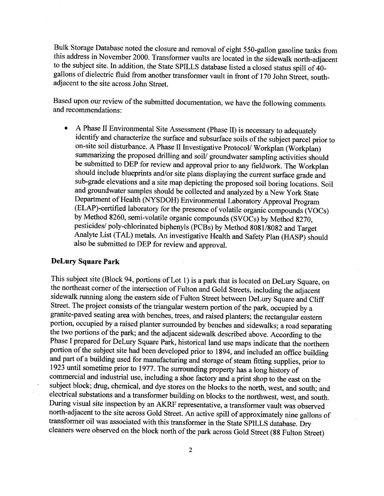Bulk Storage Database noted the closure and removal of eight 550-gallon gasoline tanks from this address in November 2000. Transformer vaults are located in the sidewalk north-adjacent to the subject site. In addition, the State SPILLS database listed a closed status spill of 40gallons of dielectric fluid from another transformer vault in front of 170 John Street, southadjacent to the site across John Street.

Based upon our review of the submitted documentation, we have the following comments and recommendations:

A Phase II Environmental Site Assessment (Phase II) is necessary to adequately identify and characterize the surface and subsurface soils of the subject parcel prior to on-site soil disturbance. A Phase II Investigative Protocol/ Workplan (Workplan) summarizing the proposed drilling and soil/groundwater sampling activities should be submitted to DEP for review and approval prior to any fieldwork. The Workplan should include blueprints and/or site plans displaying the current surface grade and sub-grade elevations and a site map depicting the proposed soil boring locations. Soil and groundwater samples should be collected and analyzed by a New York State Department of Health (NYSDOH) Environmental Laboratory Approval Program (ELAP)-certified laboratory for the presence of volatile organic compounds (VOCs) by Method 8260, semi-volatile organic compounds (SVOCs) by Method 8270, pesticides/ poly-chlorinated biphenyls (PCBs) by Method 8081/8082 and Target Analyte List (TAL) metals. An investigative Health and Safety Plan (HASP) should also be submitted to DEP for review and approval.

## **DeLury Square Park**

This subject site (Block 94, portions of Lot 1) is a park that is located on DeLury Square, on the northeast corner of the intersection of Fulton and Gold Streets, including the adjacent sidewalk running along the eastern side of Fulton Street between DeLury Square and Cliff Street. The project consists of the triangular western portion of the park, occupied by a granite-paved seating area with benches, trees, and raised planters; the rectangular eastern portion, occupied by a raised planter surrounded by benches and sidewalks; a road separating the two portions of the park; and the adjacent sidewalk described above. According to the Phase I prepared for DeLury Square Park, historical land use maps indicate that the northern portion of the subject site had been developed prior to 1894, and included an office building and part of a building used for manufacturing and storage of steam fitting supplies, prior to 1923 until sometime prior to 1977. The surrounding property has a long history of commercial and industrial use, including a shoe factory and a print shop to the east on the subject block; drug, chemical, and dye stores on the blocks to the north, west, and south; and electrical substations and a transformer building on blocks to the northwest, west, and south. During visual site inspection by an AKRF representative, a transformer vault was observed north-adjacent to the site across Gold Street. An active spill of approximately nine gallons of transformer oil was associated with this transformer in the State SPILLS database. Dry cleaners were observed on the block north of the park across Gold Street (88 Fulton Street)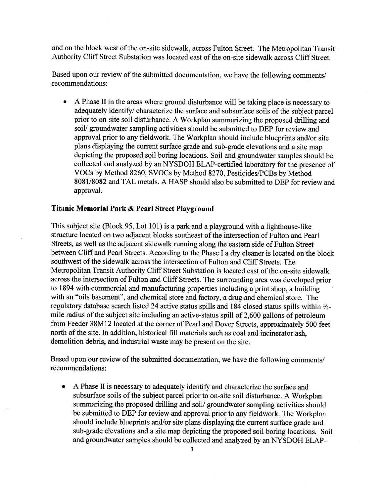and on the block west of the on-site sidewalk, across Fulton Street. The Metropolitan Transit Authority Cliff Street Substation was located east of the on-site sidewalk across Cliff Street.

Based upon our review of the submitted documentation, we have the following comments/ recommendations:

A Phase II in the areas where ground disturbance will be taking place is necessary to adequately identify/ characterize the surface and subsurface soils of the subject parcel prior to on-site soil disturbance. A Workplan summarizing the proposed drilling and soil/ groundwater sampling activities should be submitted to DEP for review and approval prior to any fieldwork. The Workplan should include blueprints and/or site plans displaying the current surface grade and sub-grade elevations and a site map depicting the proposed soil boring locations. Soil and groundwater samples should be collected and analyzed by an NYSDOH ELAP-certified laboratory for the presence of VOCs by Method 8260, SVOCs by Method 8270, Pesticides/PCBs by Method 8081/8082 and TAL metals. A HASP should also be submitted to DEP for review and approval.

## Titanic Memorial Park & Pearl Street Plavground

This subject site (Block 95, Lot 101) is a park and a playground with a lighthouse-like structure located on two adjacent blocks southeast of the intersection of Fulton and Pearl Streets, as well as the adjacent sidewalk running along the eastern side of Fulton Street between Cliff and Pearl Streets. According to the Phase I a dry cleaner is located on the block southwest of the sidewalk across the intersection of Fulton and Cliff Streets. The Metropolitan Transit Authority Cliff Street Substation is located east of the on-site sidewalk across the intersection of Fulton and Cliff Streets. The surrounding area was developed prior to 1894 with commercial and manufacturing properties including a print shop, a building with an "oils basement", and chemical store and factory, a drug and chemical store. The regulatory database search listed 24 active status spills and 184 closed status spills within 1/2mile radius of the subject site including an active-status spill of 2,600 gallons of petroleum from Feeder 38M12 located at the corner of Pearl and Dover Streets, approximately 500 feet north of the site. In addition, historical fill materials such as coal and incinerator ash, demolition debris, and industrial waste may be present on the site.

Based upon our review of the submitted documentation, we have the following comments/ recommendations:

A Phase II is necessary to adequately identify and characterize the surface and subsurface soils of the subject parcel prior to on-site soil disturbance. A Workplan summarizing the proposed drilling and soil/groundwater sampling activities should be submitted to DEP for review and approval prior to any fieldwork. The Workplan should include blueprints and/or site plans displaying the current surface grade and sub-grade elevations and a site map depicting the proposed soil boring locations. Soil and groundwater samples should be collected and analyzed by an NYSDOH ELAP-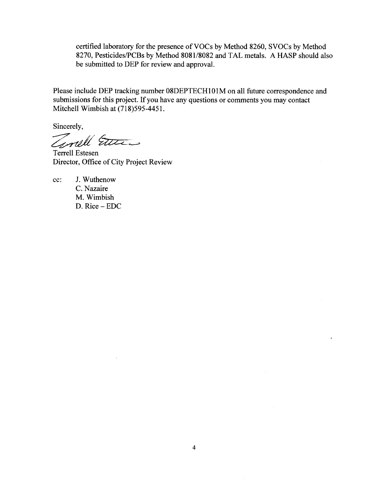certified laboratory for the presence of VOCs by Method 8260, SVOCs by Method 8270, Pesticides/PCBs by Method 8081/8082 and TAL metals. A HASP should also be submitted to DEP for review and approval.

Please include DEP tracking number 08DEPTECH101M on all future correspondence and submissions for this project. If you have any questions or comments you may contact Mitchell Wimbish at (718)595-4451.

Sincerely,

Timell Etter

Terrell Estesen Director, Office of City Project Review

 $cc$ : J. Wuthenow C. Nazaire M. Wimbish D. Rice - EDC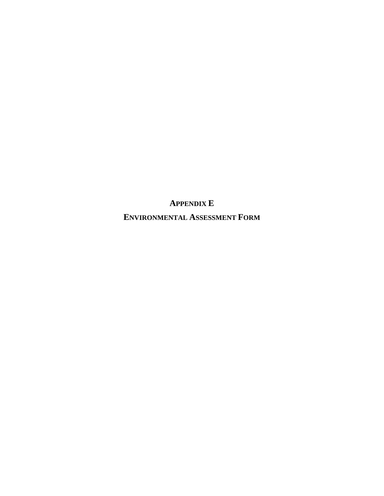**APPENDIX E ENVIRONMENTAL ASSESSMENT FORM**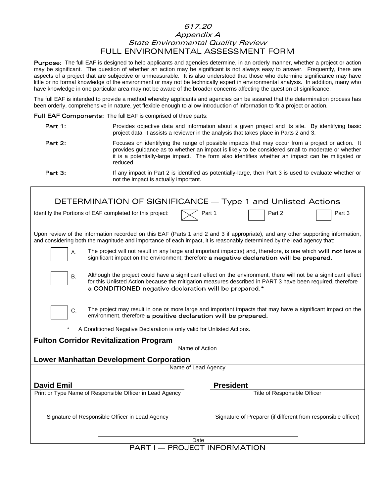## 617.20 Appendix A State Environmental Quality Review FULL ENVIRONMENTAL ASSESSMENT FORM

Purpose: The full EAF is designed to help applicants and agencies determine, in an orderly manner, whether a project or action may be significant. The question of whether an action may be significant is not always easy to answer. Frequently, there are aspects of a project that are subjective or unmeasurable. It is also understood that those who determine significance may have little or no formal knowledge of the environment or may not be technically expert in environmental analysis. In addition, many who have knowledge in one particular area may not be aware of the broader concerns affecting the question of significance.

The full EAF is intended to provide a method whereby applicants and agencies can be assured that the determination process has been orderly, comprehensive in nature, yet flexible enough to allow introduction of information to fit a project or action.

Full EAF Components: The full EAF is comprised of three parts:

- Part 1: Provides objective data and information about a given project and its site. By identifying basic project data, it assists a reviewer in the analysis that takes place in Parts 2 and 3.
- Part 2: Focuses on identifying the range of possible impacts that may occur from a project or action. It provides guidance as to whether an impact is likely to be considered small to moderate or whether it is a potentially-large impact. The form also identifies whether an impact can be mitigated or reduced.

Part 3: If any impact in Part 2 is identified as potentially-large, then Part 3 is used to evaluate whether or not the impact is actually important.

| DETERMINATION OF SIGNIFICANCE - Type 1 and Unlisted Actions                                                                                                                                                                                               |                                                                                                                                                                                                                               |
|-----------------------------------------------------------------------------------------------------------------------------------------------------------------------------------------------------------------------------------------------------------|-------------------------------------------------------------------------------------------------------------------------------------------------------------------------------------------------------------------------------|
| Identify the Portions of EAF completed for this project:                                                                                                                                                                                                  | Part 1<br>Part 2<br>Part 3                                                                                                                                                                                                    |
| Upon review of the information recorded on this EAF (Parts 1 and 2 and 3 if appropriate), and any other supporting information,<br>and considering both the magnitude and importance of each impact, it is reasonably determined by the lead agency that: |                                                                                                                                                                                                                               |
| Α.                                                                                                                                                                                                                                                        | The project will not result in any large and important impact(s) and, therefore, is one which will not have a<br>significant impact on the environment; therefore a negative declaration will be prepared.                    |
| <b>B.</b><br>a CONDITIONED negative declaration will be prepared.*                                                                                                                                                                                        | Although the project could have a significant effect on the environment, there will not be a significant effect<br>for this Unlisted Action because the mitigation measures described in PART 3 have been required, therefore |
| C.<br>environment, therefore a positive declaration will be prepared.                                                                                                                                                                                     | The project may result in one or more large and important impacts that may have a significant impact on the                                                                                                                   |
| A Conditioned Negative Declaration is only valid for Unlisted Actions.                                                                                                                                                                                    |                                                                                                                                                                                                                               |
| <b>Fulton Corridor Revitalization Program</b><br>Name of Action                                                                                                                                                                                           |                                                                                                                                                                                                                               |
| <b>Lower Manhattan Development Corporation</b>                                                                                                                                                                                                            |                                                                                                                                                                                                                               |
| Name of Lead Agency                                                                                                                                                                                                                                       |                                                                                                                                                                                                                               |
| <b>David Emil</b>                                                                                                                                                                                                                                         | <b>President</b>                                                                                                                                                                                                              |
| Print or Type Name of Responsible Officer in Lead Agency                                                                                                                                                                                                  | Title of Responsible Officer                                                                                                                                                                                                  |
| Signature of Responsible Officer in Lead Agency                                                                                                                                                                                                           | Signature of Preparer (if different from responsible officer)                                                                                                                                                                 |
| Date                                                                                                                                                                                                                                                      |                                                                                                                                                                                                                               |

PART I — PROJECT INFORMATION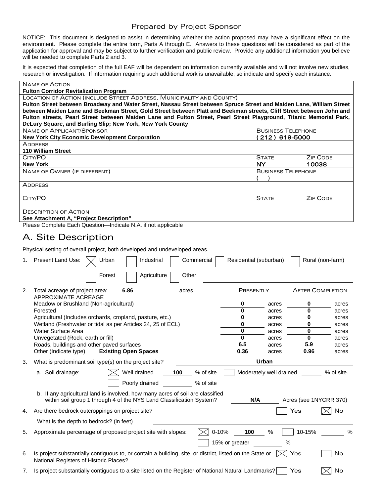## Prepared by Project Sponsor

NOTICE: This document is designed to assist in determining whether the action proposed may have a significant effect on the environment. Please complete the entire form, Parts A through E. Answers to these questions will be considered as part of the application for approval and may be subject to further verification and public review. Provide any additional information you believe will be needed to complete Parts 2 and 3.

It is expected that completion of the full EAF will be dependent on information currently available and will not involve new studies, research or investigation. If information requiring such additional work is unavailable, so indicate and specify each instance.

|    | <b>NAME OF ACTION</b>                                                                                                                              |                                               |                            |
|----|----------------------------------------------------------------------------------------------------------------------------------------------------|-----------------------------------------------|----------------------------|
|    | <b>Fulton Corridor Revitalization Program</b><br>LOCATION OF ACTION (INCLUDE STREET ADDRESS, MUNICIPALITY AND COUNTY)                              |                                               |                            |
|    | Fulton Street between Broadway and Water Street, Nassau Street between Spruce Street and Maiden Lane, William Street                               |                                               |                            |
|    | between Maiden Lane and Beekman Street, Gold Street between Platt and Beekman streets, Cliff Street between John and                               |                                               |                            |
|    | Fulton streets, Pearl Street between Maiden Lane and Fulton Street, Pearl Street Playground, Titanic Memorial Park,                                |                                               |                            |
|    | DeLury Square, and Burling Slip; New York, New York County                                                                                         |                                               |                            |
|    | <b>NAME OF APPLICANT/SPONSOR</b><br><b>New York City Economic Development Corporation</b>                                                          | <b>BUSINESS TELEPHONE</b><br>$(212)$ 619-5000 |                            |
|    | <b>ADDRESS</b>                                                                                                                                     |                                               |                            |
|    | <b>110 William Street</b>                                                                                                                          |                                               |                            |
|    | CITY/PO                                                                                                                                            | <b>STATE</b>                                  | <b>ZIP CODE</b>            |
|    | <b>New York</b>                                                                                                                                    | <b>NY</b>                                     | 10038                      |
|    | NAME OF OWNER (IF DIFFERENT)                                                                                                                       | <b>BUSINESS TELEPHONE</b>                     |                            |
|    | <b>ADDRESS</b>                                                                                                                                     |                                               |                            |
|    |                                                                                                                                                    |                                               |                            |
|    | CITY/PO                                                                                                                                            | <b>STATE</b>                                  | <b>ZIP CODE</b>            |
|    |                                                                                                                                                    |                                               |                            |
|    | <b>DESCRIPTION OF ACTION</b><br>See Attachment A, "Project Description"                                                                            |                                               |                            |
|    | Please Complete Each Question-Indicate N.A. if not applicable                                                                                      |                                               |                            |
|    |                                                                                                                                                    |                                               |                            |
|    | A. Site Description                                                                                                                                |                                               |                            |
|    | Physical setting of overall project, both developed and undeveloped areas.                                                                         |                                               |                            |
|    |                                                                                                                                                    |                                               |                            |
| 1. | Present Land Use:<br>Urban<br>Industrial<br>Commercial                                                                                             | Residential (suburban)                        | Rural (non-farm)           |
|    | Forest<br>Agriculture<br>Other                                                                                                                     |                                               |                            |
|    |                                                                                                                                                    |                                               |                            |
| 2. | 6.86<br>Total acreage of project area:<br>acres.                                                                                                   | PRESENTLY                                     | <b>AFTER COMPLETION</b>    |
|    | <b>APPROXIMATE ACREAGE</b>                                                                                                                         |                                               |                            |
|    | Meadow or Brushland (Non-agricultural)                                                                                                             | 0<br>acres                                    | 0<br>acres                 |
|    | Forested                                                                                                                                           | 0<br>acres                                    | 0<br>acres                 |
|    | Agricultural (Includes orchards, cropland, pasture, etc.)<br>Wetland (Freshwater or tidal as per Articles 24, 25 of ECL)                           | 0<br>acres<br>0                               | 0<br>acres<br>0            |
|    | Water Surface Area                                                                                                                                 | acres<br>0<br>acres                           | acres<br>$\bf{0}$<br>acres |
|    | Unvegetated (Rock, earth or fill)                                                                                                                  | 0<br>acres                                    | 0<br>acres                 |
|    | Roads, buildings and other paved surfaces                                                                                                          | 6.5<br>acres                                  | 5.9<br>acres               |
|    | <b>Existing Open Spaces</b><br>Other (Indicate type)                                                                                               | 0.36<br>acres                                 | 0.96<br>acres              |
|    | What is predominant soil type(s) on the project site?                                                                                              | Urban                                         |                            |
|    | Well drained<br>100<br>% of site<br>a. Soil drainage:                                                                                              | Moderately well drained                       | % of site.                 |
|    | % of site<br>Poorly drained                                                                                                                        |                                               |                            |
|    | b. If any agricultural land is involved, how many acres of soil are classified                                                                     |                                               |                            |
|    | within soil group 1 through 4 of the NYS Land Classification System?                                                                               | N/A                                           | Acres (see 1NYCRR 370)     |
| 4. | Are there bedrock outcroppings on project site?                                                                                                    | Yes                                           | No                         |
|    |                                                                                                                                                    |                                               |                            |
|    | What is the depth to bedrock? (in feet)                                                                                                            |                                               |                            |
| 5. | $0 - 10%$<br>Approximate percentage of proposed project site with slopes:                                                                          | $\%$<br>100                                   | 10-15%<br>%                |
|    | 15% or greater                                                                                                                                     | %                                             |                            |
|    |                                                                                                                                                    |                                               |                            |
| 6. | Is project substantially contiguous to, or contain a building, site, or district, listed on the State or<br>National Registers of Historic Places? | Yes                                           | No                         |
| 7. | Is project substantially contiguous to a site listed on the Register of National Natural Landmarks?                                                | Yes                                           | No                         |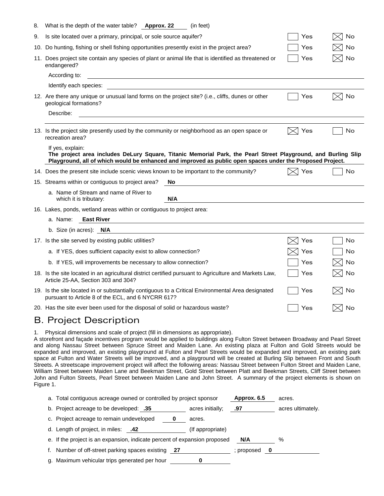| 8. | What is the depth of the water table? Approx. 22<br>(in feet)                                                                                                                                                                                  |     |    |
|----|------------------------------------------------------------------------------------------------------------------------------------------------------------------------------------------------------------------------------------------------|-----|----|
| 9. | Is site located over a primary, principal, or sole source aquifer?                                                                                                                                                                             | Yes | No |
|    | 10. Do hunting, fishing or shell fishing opportunities presently exist in the project area?                                                                                                                                                    | Yes | No |
|    | 11. Does project site contain any species of plant or animal life that is identified as threatened or<br>endangered?                                                                                                                           | Yes | No |
|    | According to:                                                                                                                                                                                                                                  |     |    |
|    | Identify each species:                                                                                                                                                                                                                         |     |    |
|    | 12. Are there any unique or unusual land forms on the project site? (i.e., cliffs, dunes or other<br>geological formations?                                                                                                                    | Yes | No |
|    | Describe:                                                                                                                                                                                                                                      |     |    |
|    | 13. Is the project site presently used by the community or neighborhood as an open space or<br>recreation area?                                                                                                                                | Yes | No |
|    | If yes, explain:<br>The project area includes DeLury Square, Titanic Memorial Park, the Pearl Street Playground, and Burling Slip<br>Playground, all of which would be enhanced and improved as public open spaces under the Proposed Project. |     |    |
|    | 14. Does the present site include scenic views known to be important to the community?                                                                                                                                                         | Yes | No |
|    | 15. Streams within or contiguous to project area?<br>No                                                                                                                                                                                        |     |    |
|    | a. Name of Stream and name of River to<br>N/A<br>which it is tributary:                                                                                                                                                                        |     |    |
|    | 16. Lakes, ponds, wetland areas within or contiguous to project area:                                                                                                                                                                          |     |    |
|    | <b>East River</b><br>a. Name:                                                                                                                                                                                                                  |     |    |
|    | b. Size (in acres): $N/A$                                                                                                                                                                                                                      |     |    |
|    | 17. Is the site served by existing public utilities?                                                                                                                                                                                           | Yes | No |
|    | a. If YES, does sufficient capacity exist to allow connection?                                                                                                                                                                                 | Yes | No |
|    | b. If YES, will improvements be necessary to allow connection?                                                                                                                                                                                 | Yes | No |
|    | 18. Is the site located in an agricultural district certified pursuant to Agriculture and Markets Law,<br>Article 25-AA, Section 303 and 304?                                                                                                  | Yes | No |
|    | 19. Is the site located in or substantially contiguous to a Critical Environmental Area designated<br>pursuant to Article 8 of the ECL, and 6 NYCRR 617?                                                                                       | Yes | No |
|    | 20. Has the site ever been used for the disposal of solid or hazardous waste?                                                                                                                                                                  | Yes | No |
|    | <b>B. Project Description</b>                                                                                                                                                                                                                  |     |    |

1. Physical dimensions and scale of project (fill in dimensions as appropriate).

A storefront and façade incentives program would be applied to buildings along Fulton Street between Broadway and Pearl Street and along Nassau Street between Spruce Street and Maiden Lane. An existing plaza at Fulton and Gold Streets would be expanded and improved, an existing playground at Fulton and Pearl Streets would be expanded and improved, an existing park space at Fulton and Water Streets will be improved, and a playground will be created at Burling Slip between Front and South Streets. A streetscape improvement project will affect the following areas: Nassau Street between Fulton Street and Maiden Lane, William Street between Maiden Lane and Beekman Street, Gold Street between Platt and Beekman Streets, Cliff Street between John and Fulton Streets, Pearl Street between Maiden Lane and John Street. A summary of the project elements is shown on Figure 1.

| a. Total contiguous acreage owned or controlled by project sponsor        |                  | Approx. 6.5 | acres.            |
|---------------------------------------------------------------------------|------------------|-------------|-------------------|
| b. Project acreage to be developed: .35                                   | acres initially; | .97         | acres ultimately. |
| c. Project acreage to remain undeveloped                                  | acres.           |             |                   |
| d. Length of project, in miles:<br>.42                                    | (If appropriate) |             |                   |
| e. If the project is an expansion, indicate percent of expansion proposed |                  | N/A         | %                 |
| Number of off-street parking spaces existing 27                           |                  | ; proposed  |                   |
| g. Maximum vehicular trips generated per hour                             |                  |             |                   |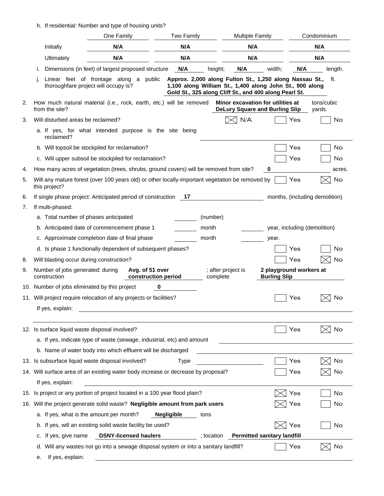h. If residential: Number and type of housing units?

|    |                                                   | One Family                                                                                      | <b>Two Family</b>         | <b>Multiple Family</b>         |                                                                                                                                                                               | Condominium          |
|----|---------------------------------------------------|-------------------------------------------------------------------------------------------------|---------------------------|--------------------------------|-------------------------------------------------------------------------------------------------------------------------------------------------------------------------------|----------------------|
|    | Initially                                         | N/A                                                                                             | N/A                       | N/A                            |                                                                                                                                                                               | N/A                  |
|    | Ultimately                                        | N/A                                                                                             | N/A                       | N/A                            |                                                                                                                                                                               | N/A                  |
|    |                                                   | Dimensions (in feet) of largest proposed structure                                              | N/A                       | N/A<br>height;                 | N/A<br>width;                                                                                                                                                                 | length.              |
|    | thoroughfare project will occupy is?              | Linear feet of frontage along a public                                                          |                           |                                | Approx. 2,000 along Fulton St., 1,250 along Nassau St.,<br>1,100 along William St., 1,400 along John St., 900 along<br>Gold St., 325 along Cliff St., and 400 along Pearl St. | ft.                  |
| 2. | from the site?                                    | How much natural material (i.e., rock, earth, etc.) will be removed                             |                           |                                | Minor excavation for utilities at<br><b>DeLury Square and Burling Slip</b>                                                                                                    | tons/cubic<br>yards. |
| 3. | Will disturbed areas be reclaimed?                |                                                                                                 |                           | N/A                            | Yes                                                                                                                                                                           | No                   |
|    | reclaimed?                                        | a. If yes, for what intended purpose is the site being                                          |                           |                                |                                                                                                                                                                               |                      |
|    |                                                   | b. Will topsoil be stockpiled for reclamation?                                                  |                           |                                | Yes                                                                                                                                                                           | No                   |
|    |                                                   | c. Will upper subsoil be stockpiled for reclamation?                                            |                           |                                | Yes                                                                                                                                                                           | No                   |
| 4. |                                                   | How many acres of vegetation (trees, shrubs, ground covers) will be removed from site?          |                           |                                | 0                                                                                                                                                                             | acres.               |
| 5. | this project?                                     | Will any mature forest (over 100 years old) or other locally-important vegetation be removed by |                           |                                | Yes                                                                                                                                                                           | No                   |
| 6. |                                                   | If single phase project: Anticipated period of construction                                     | 17                        |                                | months, (including demolition)                                                                                                                                                |                      |
| 7. | If multi-phased:                                  |                                                                                                 |                           |                                |                                                                                                                                                                               |                      |
|    | a. Total number of phases anticipated             |                                                                                                 |                           | (number)                       |                                                                                                                                                                               |                      |
|    |                                                   | b. Anticipated date of commencement phase 1                                                     | month                     |                                | year, including (demolition)                                                                                                                                                  |                      |
|    |                                                   | c. Approximate completion date of final phase                                                   | month                     |                                | year.                                                                                                                                                                         |                      |
|    |                                                   | d. Is phase 1 functionally dependent of subsequent phases?                                      |                           |                                | Yes                                                                                                                                                                           | No                   |
| 8. | Will blasting occur during construction?          |                                                                                                 |                           |                                | Yes                                                                                                                                                                           | No                   |
| 9. | Number of jobs generated: during<br>construction  | Avg. of 51 over                                                                                 | construction period       | ; after project is<br>complete | 2 playground workers at<br><b>Burling Slip</b>                                                                                                                                |                      |
|    | 10. Number of jobs eliminated by this project     |                                                                                                 | 0                         |                                |                                                                                                                                                                               |                      |
|    |                                                   | 11. Will project require relocation of any projects or facilities?                              |                           |                                | Yes                                                                                                                                                                           | No                   |
|    | If yes, explain:                                  |                                                                                                 |                           |                                |                                                                                                                                                                               |                      |
|    | 12. Is surface liquid waste disposal involved?    |                                                                                                 |                           |                                | Yes                                                                                                                                                                           | No                   |
|    |                                                   | a. If yes, indicate type of waste (sewage, industrial, etc) and amount                          |                           |                                |                                                                                                                                                                               |                      |
|    |                                                   | b. Name of water body into which effluent will be discharged                                    |                           |                                |                                                                                                                                                                               |                      |
|    | 13. Is subsurface liquid waste disposal involved? |                                                                                                 | <b>Type</b>               |                                | Yes                                                                                                                                                                           | No                   |
|    |                                                   | 14. Will surface area of an existing water body increase or decrease by proposal?               |                           |                                | Yes                                                                                                                                                                           | No                   |
|    | If yes, explain:                                  |                                                                                                 |                           |                                |                                                                                                                                                                               |                      |
|    |                                                   | 15. Is project or any portion of project located in a 100 year flood plain?                     |                           |                                | Yes                                                                                                                                                                           | No                   |
|    |                                                   | 16. Will the project generate solid waste? Negligible amount from park users                    |                           |                                | Yes                                                                                                                                                                           | No                   |
|    | a. If yes, what is the amount per month?          |                                                                                                 | <b>Negligible</b><br>tons |                                |                                                                                                                                                                               |                      |
|    | b.                                                | If yes, will an existing solid waste facility be used?                                          |                           |                                | Yes                                                                                                                                                                           | No                   |
|    | If yes, give name<br>c.                           | <b>DSNY-licensed haulers</b>                                                                    |                           | : location                     | <b>Permitted sanitary landfill</b>                                                                                                                                            |                      |
|    | d.<br>If yes, explain:<br>е.                      | Will any wastes not go into a sewage disposal system or into a sanitary landfill?               |                           |                                | Yes                                                                                                                                                                           | No                   |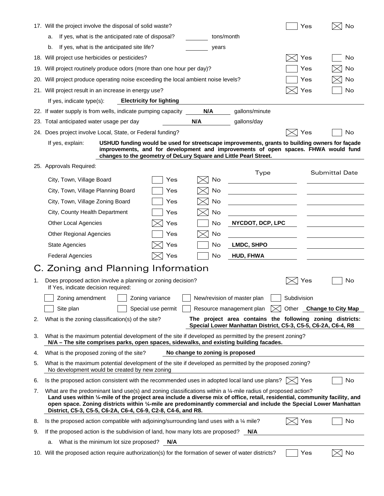|     | 17. Will the project involve the disposal of solid waste?                                                                                                                                                                                                                                                                                                                                                                        |     |                                 |                                                                                                                            | Yes         | No                       |
|-----|----------------------------------------------------------------------------------------------------------------------------------------------------------------------------------------------------------------------------------------------------------------------------------------------------------------------------------------------------------------------------------------------------------------------------------|-----|---------------------------------|----------------------------------------------------------------------------------------------------------------------------|-------------|--------------------------|
|     | If yes, what is the anticipated rate of disposal?<br>a.                                                                                                                                                                                                                                                                                                                                                                          |     | tons/month                      |                                                                                                                            |             |                          |
|     | If yes, what is the anticipated site life?<br>b.                                                                                                                                                                                                                                                                                                                                                                                 |     | years                           |                                                                                                                            |             |                          |
|     | 18. Will project use herbicides or pesticides?                                                                                                                                                                                                                                                                                                                                                                                   |     |                                 |                                                                                                                            | Yes         | No                       |
|     | 19. Will project routinely produce odors (more than one hour per day)?                                                                                                                                                                                                                                                                                                                                                           |     |                                 |                                                                                                                            | Yes         | No                       |
| 20. | Will project produce operating noise exceeding the local ambient noise levels?                                                                                                                                                                                                                                                                                                                                                   |     |                                 |                                                                                                                            | Yes         | No                       |
|     | 21. Will project result in an increase in energy use?                                                                                                                                                                                                                                                                                                                                                                            |     |                                 |                                                                                                                            | Yes         | No                       |
|     | If yes, indicate type(s):<br><b>Electricity for lighting</b>                                                                                                                                                                                                                                                                                                                                                                     |     |                                 |                                                                                                                            |             |                          |
|     | 22. If water supply is from wells, indicate pumping capacity                                                                                                                                                                                                                                                                                                                                                                     |     | N/A                             | gallons/minute                                                                                                             |             |                          |
|     | 23. Total anticipated water usage per day                                                                                                                                                                                                                                                                                                                                                                                        |     | N/A                             | gallons/day                                                                                                                |             |                          |
|     | 24. Does project involve Local, State, or Federal funding?                                                                                                                                                                                                                                                                                                                                                                       |     |                                 |                                                                                                                            | Yes         | No                       |
|     | USHUD funding would be used for streetscape improvements, grants to building owners for façade<br>If yes, explain:<br>improvements, and for development and improvements of open spaces. FHWA would fund<br>changes to the geometry of DeLury Square and Little Pearl Street.                                                                                                                                                    |     |                                 |                                                                                                                            |             |                          |
|     | 25. Approvals Required:                                                                                                                                                                                                                                                                                                                                                                                                          |     |                                 |                                                                                                                            |             |                          |
|     | City, Town, Village Board                                                                                                                                                                                                                                                                                                                                                                                                        | Yes | No                              | Type                                                                                                                       |             | <b>Submittal Date</b>    |
|     | City, Town, Village Planning Board                                                                                                                                                                                                                                                                                                                                                                                               | Yes | No                              |                                                                                                                            |             |                          |
|     | City, Town, Village Zoning Board                                                                                                                                                                                                                                                                                                                                                                                                 | Yes | No                              |                                                                                                                            |             |                          |
|     | City, County Health Department                                                                                                                                                                                                                                                                                                                                                                                                   | Yes | No                              |                                                                                                                            |             |                          |
|     | <b>Other Local Agencies</b>                                                                                                                                                                                                                                                                                                                                                                                                      | Yes | No                              | NYCDOT, DCP, LPC                                                                                                           |             |                          |
|     | <b>Other Regional Agencies</b>                                                                                                                                                                                                                                                                                                                                                                                                   | Yes | No                              |                                                                                                                            |             |                          |
|     | <b>State Agencies</b>                                                                                                                                                                                                                                                                                                                                                                                                            | Yes | No                              | LMDC, SHPO                                                                                                                 |             |                          |
|     | <b>Federal Agencies</b>                                                                                                                                                                                                                                                                                                                                                                                                          | Yes | No                              | <b>HUD, FHWA</b>                                                                                                           |             |                          |
|     | C. Zoning and Planning Information                                                                                                                                                                                                                                                                                                                                                                                               |     |                                 |                                                                                                                            |             |                          |
| 1.  | Does proposed action involve a planning or zoning decision?<br>If Yes, indicate decision required:                                                                                                                                                                                                                                                                                                                               |     |                                 |                                                                                                                            | Yes         | No                       |
|     | Zoning variance<br>Zoning amendment                                                                                                                                                                                                                                                                                                                                                                                              |     |                                 | New/revision of master plan                                                                                                | Subdivision |                          |
|     | Site plan<br>Special use permit                                                                                                                                                                                                                                                                                                                                                                                                  |     |                                 | Resource management plan<br>$\mathbb{R}$                                                                                   |             | Other Change to City Map |
| 2.  | What is the zoning classification(s) of the site?                                                                                                                                                                                                                                                                                                                                                                                |     |                                 | The project area contains the following zoning districts:<br>Special Lower Manhattan District, C5-3, C5-5, C6-2A, C6-4, R8 |             |                          |
| 3.  | What is the maximum potential development of the site if developed as permitted by the present zoning?<br>N/A - The site comprises parks, open spaces, sidewalks, and existing building facades.                                                                                                                                                                                                                                 |     |                                 |                                                                                                                            |             |                          |
| 4.  | What is the proposed zoning of the site?                                                                                                                                                                                                                                                                                                                                                                                         |     | No change to zoning is proposed |                                                                                                                            |             |                          |
| 5.  | What is the maximum potential development of the site if developed as permitted by the proposed zoning?<br>No development would be created by new zoning                                                                                                                                                                                                                                                                         |     |                                 |                                                                                                                            |             |                          |
| 6.  | Is the proposed action consistent with the recommended uses in adopted local land use plans?                                                                                                                                                                                                                                                                                                                                     |     |                                 |                                                                                                                            | Yes         | No                       |
| 7.  | What are the predominant land use(s) and zoning classifications within a 1/4-mile radius of proposed action?<br>Land uses within 1/4-mile of the project area include a diverse mix of office, retail, residential, community facility, and<br>open space. Zoning districts within 1/4-mile are predominantly commercial and include the Special Lower Manhattan<br>District, C5-3, C5-5, C6-2A, C6-4, C6-9, C2-8, C4-6, and R8. |     |                                 |                                                                                                                            |             |                          |
| 8.  | Is the proposed action compatible with adjoining/surrounding land uses with a $\frac{1}{4}$ mile?                                                                                                                                                                                                                                                                                                                                |     |                                 |                                                                                                                            | Yes         | No                       |
| 9.  | If the proposed action is the subdivision of land, how many lots are proposed? N/A                                                                                                                                                                                                                                                                                                                                               |     |                                 |                                                                                                                            |             |                          |
|     | What is the minimum lot size proposed?<br>a.                                                                                                                                                                                                                                                                                                                                                                                     | N/A |                                 |                                                                                                                            |             |                          |
|     | 10. Will the proposed action require authorization(s) for the formation of sewer of water districts?                                                                                                                                                                                                                                                                                                                             |     |                                 |                                                                                                                            | Yes         | No                       |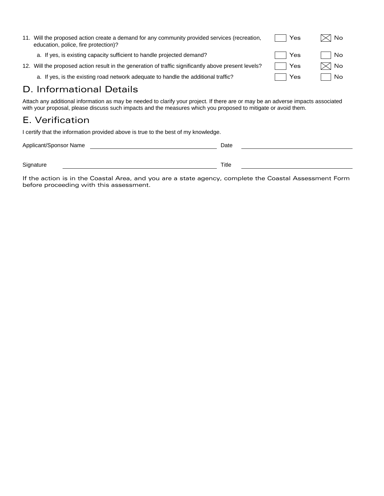| 11. | Will the proposed action create a demand for any community provided services (recreation,<br>education, police, fire protection)? | Yes | <l no<="" th=""></l> |
|-----|-----------------------------------------------------------------------------------------------------------------------------------|-----|----------------------|
|     | a. If yes, is existing capacity sufficient to handle projected demand?                                                            | Yes | No.                  |
|     | 12. Will the proposed action result in the generation of traffic significantly above present levels?                              | Yes | $\boxtimes$ No       |
|     | a. If yes, is the existing road network adequate to handle the additional traffic?                                                | Yes | No.                  |

# D. Informational Details

Attach any additional information as may be needed to clarify your project. If there are or may be an adverse impacts associated with your proposal, please discuss such impacts and the measures which you proposed to mitigate or avoid them.

# E. Verification

I certify that the information provided above is true to the best of my knowledge.

| Applicant/Sponsor Name | Date  |  |
|------------------------|-------|--|
|                        |       |  |
| Signature              | Title |  |

If the action is in the Coastal Area, and you are a state agency, complete the Coastal Assessment Form before proceeding with this assessment.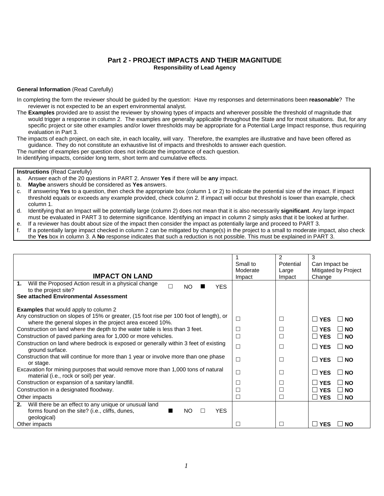#### **Part 2 - PROJECT IMPACTS AND THEIR MAGNITUDE Responsibility of Lead Agency**

#### **General Information** (Read Carefully)

- In completing the form the reviewer should be guided by the question: Have my responses and determinations been **reasonable**? The reviewer is not expected to be an expert environmental analyst.
- The **Examples** provided are to assist the reviewer by showing types of impacts and wherever possible the threshold of magnitude that would trigger a response in column 2. The examples are generally applicable throughout the State and for most situations. But, for any specific project or site other examples and/or lower thresholds may be appropriate for a Potential Large Impact response, thus requiring evaluation in Part 3.
- The impacts of each project, on each site, in each locality, will vary. Therefore, the examples are illustrative and have been offered as guidance. They do not constitute an exhaustive list of impacts and thresholds to answer each question.

The number of examples per question does not indicate the importance of each question.

In identifying impacts, consider long term, short term and cumulative effects.

#### **Instructions** (Read Carefully)

- a. Answer each of the 20 questions in PART 2. Answer **Yes** if there will be **any** impact.
- b. **Maybe** answers should be considered as **Yes** answers.
- c. If answering **Yes** to a question, then check the appropriate box (column 1 or 2) to indicate the potential size of the impact. If impact threshold equals or exceeds any example provided, check column 2. If impact will occur but threshold is lower than example, check column 1.
- d. Identifying that an Impact will be potentially large (column 2) does not mean that it is also necessarily **significant**. Any large impact must be evaluated in PART 3 to determine significance. Identifying an impact in column 2 simply asks that it be looked at further.
- e. If a reviewer has doubt about size of the impact then consider the impact as potentially large and proceed to PART 3.
- f. If a potentially large impact checked in column 2 can be mitigated by change(s) in the project to a small to moderate impact, also check the **Yes** box in column 3. A **No** response indicates that such a reduction is not possible. This must be explained in PART 3.

|                                                                                         |          | 2         | 3                                                   |
|-----------------------------------------------------------------------------------------|----------|-----------|-----------------------------------------------------|
|                                                                                         | Small to | Potential | Can Impact be                                       |
|                                                                                         | Moderate | Large     | Mitigated by Project                                |
| <b>IMPACT ON LAND</b>                                                                   | Impact   | Impact    | Change                                              |
| Will the Proposed Action result in a physical change<br>1.<br>$\Box$                    |          |           |                                                     |
| NO.<br><b>YES</b><br>to the project site?                                               |          |           |                                                     |
| See attached Environmental Assessment                                                   |          |           |                                                     |
|                                                                                         |          |           |                                                     |
| <b>Examples</b> that would apply to column 2                                            |          |           |                                                     |
| Any construction on slopes of 15% or greater, (15 foot rise per 100 foot of length), or |          | □         | <b>YFS</b><br>⊟ NO                                  |
| where the general slopes in the project area exceed 10%.                                |          |           |                                                     |
| Construction on land where the depth to the water table is less than 3 feet.            |          | □         | <b>YFS</b><br>⊟ NO                                  |
| Construction of paved parking area for 1,000 or more vehicles.                          | ×        | $\Box$    | $\Box$ YES<br>$\Box$ NO                             |
| Construction on land where bedrock is exposed or generally within 3 feet of existing    |          |           |                                                     |
| ground surface.                                                                         |          | □         | П<br><b>YES</b><br>$\Box$ NO                        |
|                                                                                         |          |           |                                                     |
| Construction that will continue for more than 1 year or involve more than one phase     |          | □         | <b>YES</b><br>$\Box$ NO<br>$\overline{\phantom{a}}$ |
| or stage.                                                                               |          |           |                                                     |
| Excavation for mining purposes that would remove more than 1,000 tons of natural        |          | $\Box$    | <b>YES</b><br>$\vert$ $\vert$ NO                    |
| material (i.e., rock or soil) per year.                                                 |          |           |                                                     |
| Construction or expansion of a sanitary landfill.                                       |          | $\Box$    | <b>YFS</b><br>⊟ NO                                  |
| Construction in a designated floodway.                                                  |          | $\Box$    | ⊟ ΝΟ<br><b>YFS</b>                                  |
| Other impacts                                                                           |          | □         | $\sqcup$ YES<br>$\Box$ NO                           |
| Will there be an effect to any unique or unusual land<br>2.                             |          |           |                                                     |
| <b>NO</b><br><b>YES</b><br>forms found on the site? (i.e., cliffs, dunes,               |          |           |                                                     |
| geological)                                                                             |          |           |                                                     |
| Other impacts                                                                           |          | П         | <b>YES</b><br><b>NO</b><br>$\mathbf{I}$             |
|                                                                                         |          |           |                                                     |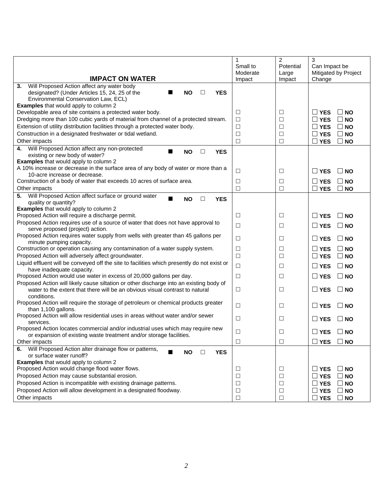|                                                                                                                          | 1<br>Small to      | $\overline{2}$<br>Potential | 3<br>Can Impact be                 |
|--------------------------------------------------------------------------------------------------------------------------|--------------------|-----------------------------|------------------------------------|
| <b>IMPACT ON WATER</b>                                                                                                   | Moderate<br>Impact | Large<br>Impact             | Mitigated by Project<br>Change     |
| 3.<br>Will Proposed Action affect any water body                                                                         |                    |                             |                                    |
| designated? (Under Articles 15, 24, 25 of the<br><b>NO</b><br><b>YES</b><br>$\Box$                                       |                    |                             |                                    |
| Environmental Conservation Law, ECL)                                                                                     |                    |                             |                                    |
| <b>Examples</b> that would apply to column 2                                                                             |                    |                             |                                    |
| Developable area of site contains a protected water body.                                                                | ⊔                  | ⊔                           | $\Box$ YES<br><b>NO</b>            |
| Dredging more than 100 cubic yards of material from channel of a protected stream.                                       | $\Box$             | $\Box$                      | $\Box$ YES<br><b>NO</b>            |
| Extension of utility distribution facilities through a protected water body.                                             | $\Box$             | $\Box$                      | $\Box$ YES<br><b>NO</b>            |
| Construction in a designated freshwater or tidal wetland.                                                                | $\Box$             | $\Box$                      | $\square$ YES<br><b>NO</b>         |
| Other impacts                                                                                                            | $\Box$             | $\Box$                      | $\Box$ YES<br><b>NO</b>            |
| Will Proposed Action affect any non-protected<br>4.                                                                      |                    |                             |                                    |
| <b>NO</b><br><b>YES</b><br>ш<br>□<br>existing or new body of water?                                                      |                    |                             |                                    |
| <b>Examples</b> that would apply to column 2                                                                             |                    |                             |                                    |
| A 10% increase or decrease in the surface area of any body of water or more than a                                       | $\Box$             | $\Box$                      | $\square$ YES<br>$\Box$ NO         |
| 10-acre increase or decrease.                                                                                            |                    |                             |                                    |
| Construction of a body of water that exceeds 10 acres of surface area.                                                   | □                  | $\Box$                      | $\Box$ YES<br><b>NO</b>            |
| Other impacts                                                                                                            | □                  | $\Box$                      | $\Box$ YES<br><b>NO</b>            |
| Will Proposed Action affect surface or ground water<br>5.<br><b>NO</b><br><b>YES</b><br>$\Box$                           |                    |                             |                                    |
| quality or quantity?                                                                                                     |                    |                             |                                    |
| <b>Examples</b> that would apply to column 2                                                                             |                    |                             |                                    |
| Proposed Action will require a discharge permit.                                                                         | ⊔                  | ⊔                           | $\Box$ YES<br><b>NO</b>            |
| Proposed Action requires use of a source of water that does not have approval to                                         | $\Box$             | $\Box$                      | $\Box$ YES<br>$\Box$ NO            |
| serve proposed (project) action.                                                                                         |                    |                             |                                    |
| Proposed Action requires water supply from wells with greater than 45 gallons per                                        | □                  | □                           | $\Box$ YES<br>$\Box$ NO            |
| minute pumping capacity.<br>Construction or operation causing any contamination of a water supply system.                |                    | $\Box$                      | ∐ YES<br><b>NO</b>                 |
| Proposed Action will adversely affect groundwater.                                                                       | ⊔<br>$\Box$        | $\Box$                      |                                    |
|                                                                                                                          |                    |                             | $\Box$ YES<br><b>NO</b>            |
| Liquid effluent will be conveyed off the site to facilities which presently do not exist or<br>have inadequate capacity. | $\Box$             | $\Box$                      | $\Box$ YES<br>$\Box$ NO            |
| Proposed Action would use water in excess of 20,000 gallons per day.                                                     | $\Box$             | $\Box$                      | $\square$ YES<br>$\Box$ NO         |
| Proposed Action will likely cause siltation or other discharge into an existing body of                                  |                    |                             |                                    |
| water to the extent that there will be an obvious visual contrast to natural                                             | $\Box$             | $\Box$                      | $\Box$ NO<br>$\Box$ YES            |
| conditions.                                                                                                              |                    |                             |                                    |
| Proposed Action will require the storage of petroleum or chemical products greater                                       |                    |                             |                                    |
| than 1,100 gallons.                                                                                                      | □                  | ⊔                           | $\square$ YES<br><b>NO</b>         |
| Proposed Action will allow residential uses in areas without water and/or sewer                                          |                    |                             |                                    |
| services.                                                                                                                | $\Box$             | $\Box$                      | $\Box$ YES<br>$\Box$ NO            |
| Proposed Action locates commercial and/or industrial uses which may require new                                          | □                  | □                           | $\Box$ YES<br><b>NO</b><br>$\perp$ |
| or expansion of existing waste treatment and/or storage facilities.                                                      |                    |                             |                                    |
| Other impacts                                                                                                            | $\Box$             | $\Box$                      | $\square$ YES<br><b>NO</b>         |
| Will Proposed Action alter drainage flow or patterns,<br>6.<br>П<br><b>NO</b><br><b>YES</b><br>□                         |                    |                             |                                    |
| or surface water runoff?                                                                                                 |                    |                             |                                    |
| <b>Examples</b> that would apply to column 2                                                                             |                    |                             |                                    |
| Proposed Action would change flood water flows.                                                                          | $\Box$             | $\Box$                      | $\Box$ YES<br><b>NO</b>            |
| Proposed Action may cause substantial erosion.                                                                           | $\Box$             | $\Box$                      | $\Box$ YES<br><b>NO</b>            |
| Proposed Action is incompatible with existing drainage patterns.                                                         | $\Box$             | $\Box$                      | $\Box$ YES<br><b>NO</b>            |
| Proposed Action will allow development in a designated floodway.                                                         | $\Box$             | $\Box$                      | $\square$ YES<br><b>NO</b>         |
| Other impacts                                                                                                            | $\Box$             | $\Box$                      | $\square$ YES<br><b>NO</b>         |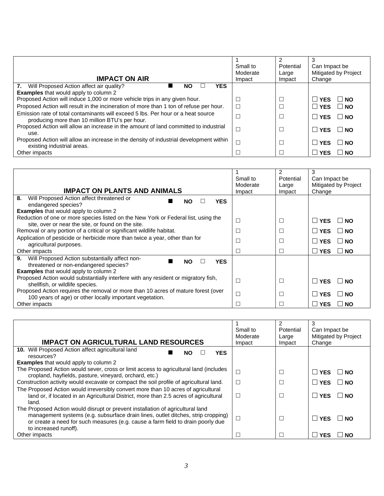| <b>IMPACT ON AIR</b>                                                                                                               | Small to<br>Moderate<br>Impact | 2<br>Potential<br>Large<br>Impact | Can Impact be<br>Mitigated by Project<br>Change |
|------------------------------------------------------------------------------------------------------------------------------------|--------------------------------|-----------------------------------|-------------------------------------------------|
| 7.<br>Will Proposed Action affect air quality?<br><b>YES</b><br>NO                                                                 |                                |                                   |                                                 |
| <b>Examples</b> that would apply to column 2                                                                                       |                                |                                   |                                                 |
| Proposed Action will induce 1,000 or more vehicle trips in any given hour.                                                         |                                |                                   | <b>YFS</b><br>$\vert$ $\vert$ NO                |
| Proposed Action will result in the incineration of more than 1 ton of refuse per hour.                                             |                                |                                   | <b>NYES</b><br>$\Box$ NO                        |
| Emission rate of total contaminants will exceed 5 lbs. Per hour or a heat source<br>producing more than 10 million BTU's per hour. |                                |                                   | $\Box$ NO<br><b>YES</b>                         |
| Proposed Action will allow an increase in the amount of land committed to industrial<br>use.                                       |                                |                                   | <b>YES</b><br>⊟ NO                              |
| Proposed Action will allow an increase in the density of industrial development within<br>existing industrial areas.               |                                |                                   | <b>YES</b><br>$\mathsf{I}$ NO                   |
| Other impacts                                                                                                                      |                                |                                   | <b>NO</b><br><b>YES</b>                         |

| <b>IMPACT ON PLANTS AND ANIMALS</b>                                                                                                                                      | Small to<br>Moderate<br>Impact | 2<br>Potential<br>Large<br>Impact | 3<br>Can Impact be<br>Mitigated by Project<br>Change |
|--------------------------------------------------------------------------------------------------------------------------------------------------------------------------|--------------------------------|-----------------------------------|------------------------------------------------------|
| 8.<br>Will Proposed Action affect threatened or<br><b>YES</b><br><b>NO</b>                                                                                               |                                |                                   |                                                      |
| endangered species?                                                                                                                                                      |                                |                                   |                                                      |
| <b>Examples</b> that would apply to column 2                                                                                                                             |                                |                                   |                                                      |
| Reduction of one or more species listed on the New York or Federal list, using the<br>site, over or near the site, or found on the site.                                 |                                |                                   | l I YES<br>N∩                                        |
| Removal or any portion of a critical or significant wildlife habitat.                                                                                                    |                                |                                   | l I YES.<br>NO.                                      |
| Application of pesticide or herbicide more than twice a year, other than for<br>agricultural purposes.                                                                   |                                |                                   | <b>I</b> YES<br>NO.                                  |
| Other impacts                                                                                                                                                            |                                |                                   | $\Box$ YES<br><b>NO</b>                              |
| Will Proposed Action substantially affect non-<br>9.<br><b>YES</b><br><b>NO</b><br>threatened or non-endangered species?<br><b>Examples</b> that would apply to column 2 |                                |                                   |                                                      |
| Proposed Action would substantially interfere with any resident or migratory fish,<br>shellfish, or wildlife species.                                                    |                                | $\Box$                            | I I YES<br>NO.                                       |
| Proposed Action requires the removal or more than 10 acres of mature forest (over<br>100 years of age) or other locally important vegetation.                            |                                |                                   | <b>YES</b><br>NΩ                                     |
| Other impacts                                                                                                                                                            |                                |                                   | <b>YES</b><br><b>NO</b>                              |

| <b>IMPACT ON AGRICULTURAL LAND RESOURCES</b>                                                                                                                                                                                                                                   | Small to<br>Moderate<br>Impact | 2<br>Potential<br>Large<br>Impact | 3<br>Can Impact be<br>Mitigated by Project<br>Change |
|--------------------------------------------------------------------------------------------------------------------------------------------------------------------------------------------------------------------------------------------------------------------------------|--------------------------------|-----------------------------------|------------------------------------------------------|
| <b>10.</b> Will Proposed Action affect agricultural land<br><b>YES</b><br>NO.<br>resources?                                                                                                                                                                                    |                                |                                   |                                                      |
| <b>Examples</b> that would apply to column 2                                                                                                                                                                                                                                   |                                |                                   |                                                      |
| The Proposed Action would sever, cross or limit access to agricultural land (includes<br>cropland, hayfields, pasture, vineyard, orchard, etc.)                                                                                                                                |                                |                                   | $\Box$ YES<br>NO.                                    |
| Construction activity would excavate or compact the soil profile of agricultural land.                                                                                                                                                                                         |                                |                                   | $\Box$ YES<br>⊟ NO                                   |
| The Proposed Action would irreversibly convert more than 10 acres of agricultural<br>land or, if located in an Agricultural District, more than 2.5 acres of agricultural<br>land.                                                                                             |                                |                                   | l I YES<br>⊟ ΝΟ                                      |
| The Proposed Action would disrupt or prevent installation of agricultural land<br>management systems (e.g. subsurface drain lines, outlet ditches, strip cropping)<br>or create a need for such measures (e.g. cause a farm field to drain poorly due<br>to increased runoff). |                                |                                   | $\Box$ YES<br>⊟ NO                                   |
| Other impacts                                                                                                                                                                                                                                                                  |                                |                                   | <b>YES</b><br>NO.                                    |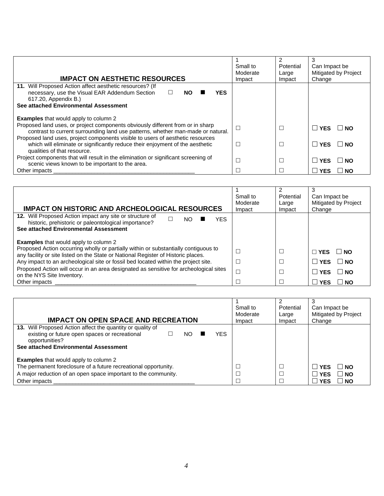| <b>IMPACT ON AESTHETIC RESOURCES</b>                                                                                                                                                           | Small to<br>Moderate<br>Impact | 2<br>Potential<br>Large<br>Impact | 3<br>Can Impact be<br>Mitigated by Project<br>Change |
|------------------------------------------------------------------------------------------------------------------------------------------------------------------------------------------------|--------------------------------|-----------------------------------|------------------------------------------------------|
| 11. Will Proposed Action affect aesthetic resources? (If<br>necessary, use the Visual EAR Addendum Section<br>YES.<br><b>NO</b><br>617.20, Appendix B.)                                        |                                |                                   |                                                      |
| See attached Environmental Assessment                                                                                                                                                          |                                |                                   |                                                      |
| <b>Examples</b> that would apply to column 2                                                                                                                                                   |                                |                                   |                                                      |
| Proposed land uses, or project components obviously different from or in sharp<br>contrast to current surrounding land use patterns, whether man-made or natural.                              |                                | $\overline{\phantom{0}}$          | <b>I</b> YES<br>I NO                                 |
| Proposed land uses, project components visible to users of aesthetic resources<br>which will eliminate or significantly reduce their enjoyment of the aesthetic<br>qualities of that resource. |                                | $\overline{\phantom{0}}$          | <b>YES</b><br><b>NO</b>                              |
| Project components that will result in the elimination or significant screening of<br>scenic views known to be important to the area.                                                          |                                |                                   | <b>YES</b><br><b>NO</b>                              |
| Other impacts                                                                                                                                                                                  |                                |                                   | <b>YES</b><br><b>NO</b>                              |

| <b>IMPACT ON HISTORIC AND ARCHEOLOGICAL RESOURCES</b>                                                                                                                                                                                                          | Small to<br>Moderate<br>Impact | 2<br>Potential<br>Large<br>Impact | 3<br>Can Impact be<br>Mitigated by Project<br>Change |
|----------------------------------------------------------------------------------------------------------------------------------------------------------------------------------------------------------------------------------------------------------------|--------------------------------|-----------------------------------|------------------------------------------------------|
| 12. Will Proposed Action impact any site or structure of<br><b>YES</b><br>NO<br>historic, prehistoric or paleontological importance?<br>See attached Environmental Assessment<br><b>Examples</b> that would apply to column 2                                  |                                |                                   |                                                      |
| Proposed Action occurring wholly or partially within or substantially contiguous to<br>any facility or site listed on the State or National Register of Historic places.<br>Any impact to an archeological site or fossil bed located within the project site. |                                |                                   | $\sqcap$ YES<br>⊟NO<br>. ∃ NO<br><b>YES</b>          |
| Proposed Action will occur in an area designated as sensitive for archeological sites<br>on the NYS Site Inventory.<br>Other impacts                                                                                                                           |                                |                                   | <b>YFS</b><br><b>NO</b><br><b>NO</b><br>YES          |

| <b>IMPACT ON OPEN SPACE AND RECREATION</b>                                                                                                                                                         | Small to<br>Moderate<br>Impact | Potential<br>Large<br>Impact | Can Impact be<br>Mitigated by Project<br>Change                      |
|----------------------------------------------------------------------------------------------------------------------------------------------------------------------------------------------------|--------------------------------|------------------------------|----------------------------------------------------------------------|
| 13. Will Proposed Action affect the quantity or quality of<br>existing or future open spaces or recreational<br>YFS<br>NO.<br>opportunities?<br>See attached Environmental Assessment              |                                |                              |                                                                      |
| <b>Examples</b> that would apply to column 2<br>The permanent foreclosure of a future recreational opportunity.<br>A major reduction of an open space important to the community.<br>Other impacts |                                |                              | ∣ INO<br><b>YFS</b><br>∣ NO<br><b>YFS</b><br><b>NO</b><br><b>YFS</b> |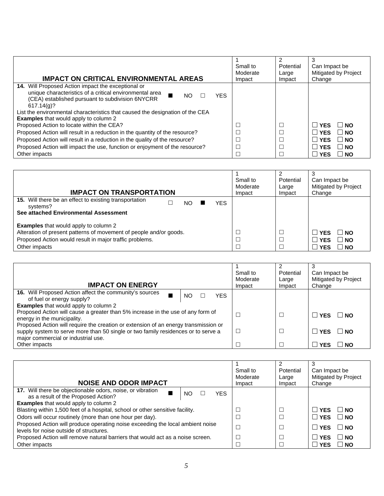| <b>IMPACT ON CRITICAL ENVIRONMENTAL AREAS</b>                                                                                                                                                        | Small to<br>Moderate<br>Impact | Potential<br>Large<br>Impact | 3<br>Can Impact be<br>Mitigated by Project<br>Change |
|------------------------------------------------------------------------------------------------------------------------------------------------------------------------------------------------------|--------------------------------|------------------------------|------------------------------------------------------|
| <b>14.</b> Will Proposed Action impact the exceptional or<br>unique characteristics of a critical environmental area<br>YES.<br>NO<br>(CEA) established pursuant to subdivision 6NYCRR<br>617.14(q)? |                                |                              |                                                      |
| List the environmental characteristics that caused the designation of the CEA<br><b>Examples</b> that would apply to column 2                                                                        |                                |                              |                                                      |
| Proposed Action to locate within the CEA?                                                                                                                                                            |                                |                              | $\perp$ YFS<br>⊟ NO                                  |
| Proposed Action will result in a reduction in the quantity of the resource?                                                                                                                          |                                |                              | $\Box$ YES<br>$\vert$ $\vert$ NO                     |
| Proposed Action will result in a reduction in the quality of the resource?                                                                                                                           |                                |                              | $\Box$ YES<br><b>NO</b><br>$\Box$                    |
| Proposed Action will impact the use, function or enjoyment of the resource?                                                                                                                          |                                |                              | $\Box$ YES<br><b>NO</b><br>H                         |
| Other impacts                                                                                                                                                                                        |                                |                              | <b>I</b> YES<br><b>NO</b><br>H                       |

| <b>IMPACT ON TRANSPORTATION</b>                                                                                                                                                                | Small to<br>Moderate<br>Impact | Potential<br>Large<br>Impact | Can Impact be<br>Mitigated by Project<br>Change                              |
|------------------------------------------------------------------------------------------------------------------------------------------------------------------------------------------------|--------------------------------|------------------------------|------------------------------------------------------------------------------|
| 15. Will there be an effect to existing transportation<br>YFS.<br>NΟ<br>systems?<br>See attached Environmental Assessment                                                                      |                                |                              |                                                                              |
| <b>Examples</b> that would apply to column 2<br>Alteration of present patterns of movement of people and/or goods.<br>Proposed Action would result in major traffic problems.<br>Other impacts |                                |                              | <b>IYES</b><br>∣ I NO<br>$\Box$ NO<br><b>YES</b><br>$\Box$ NO<br><b>IYES</b> |

| <b>IMPACT ON ENERGY</b>                                                                                                                                                                                         |    |            | Small to<br>Moderate<br>Impact | Potential<br>Large<br>Impact | 3<br>Can Impact be<br>Mitigated by Project<br>Change |
|-----------------------------------------------------------------------------------------------------------------------------------------------------------------------------------------------------------------|----|------------|--------------------------------|------------------------------|------------------------------------------------------|
| <b>16.</b> Will Proposed Action affect the community's sources<br>of fuel or energy supply?                                                                                                                     | NΟ | <b>YES</b> |                                |                              |                                                      |
| <b>Examples</b> that would apply to column 2                                                                                                                                                                    |    |            |                                |                              |                                                      |
| Proposed Action will cause a greater than 5% increase in the use of any form of<br>energy in the municipality.                                                                                                  |    |            |                                |                              | $\Box$ YES $\Box$<br>⊟ NO                            |
| Proposed Action will require the creation or extension of an energy transmission or<br>supply system to serve more than 50 single or two family residences or to serve a<br>major commercial or industrial use. |    |            |                                |                              | $\Box$ YES $\Box$<br>⊟ NO                            |
| Other impacts                                                                                                                                                                                                   |    |            |                                |                              | ∣ NO<br><b>YES</b>                                   |

| <b>NOISE AND ODOR IMPACT</b>                                                                                              |                  | Small to<br>Moderate<br>Impact | 2<br>Potential<br>Large<br>Impact | Can Impact be<br>Mitigated by Project<br>Change |
|---------------------------------------------------------------------------------------------------------------------------|------------------|--------------------------------|-----------------------------------|-------------------------------------------------|
| 17. Will there be objectionable odors, noise, or vibration<br>as a result of the Proposed Action?                         | <b>YFS</b><br>NΟ |                                |                                   |                                                 |
| <b>Examples</b> that would apply to column 2                                                                              |                  |                                |                                   |                                                 |
| Blasting within 1,500 feet of a hospital, school or other sensitive facility.                                             |                  |                                |                                   | l I YES<br>$\mathsf{I}$ NO                      |
| Odors will occur routinely (more than one hour per day).                                                                  |                  |                                |                                   | $\Box$ YES $\Box$ NO                            |
| Proposed Action will produce operating noise exceeding the local ambient noise<br>levels for noise outside of structures. |                  |                                |                                   | $\Box$ YES $\Box$ NO                            |
| Proposed Action will remove natural barriers that would act as a noise screen.                                            |                  |                                |                                   | ⊟ NO<br>∣ YFS.                                  |
| Other impacts                                                                                                             |                  |                                |                                   | $\overline{\phantom{a}}$ NO<br>l YES            |